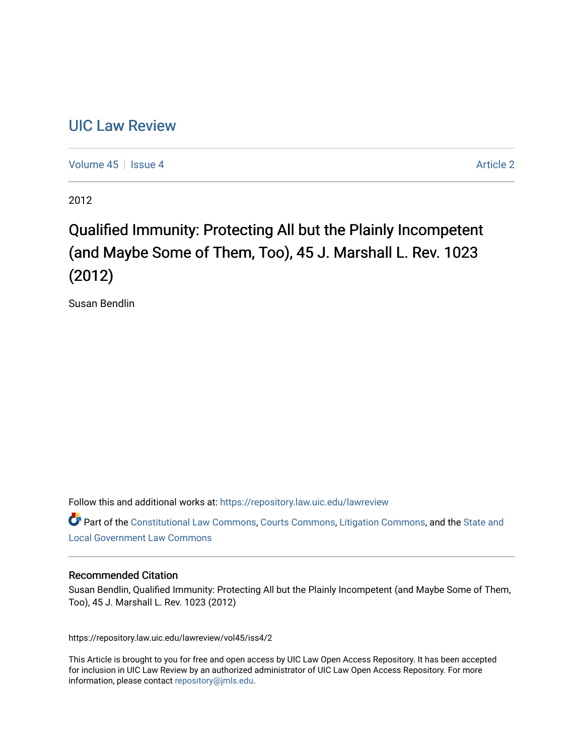# [UIC Law Review](https://repository.law.uic.edu/lawreview)

[Volume 45](https://repository.law.uic.edu/lawreview/vol45) | [Issue 4](https://repository.law.uic.edu/lawreview/vol45/iss4) Article 2

2012

# Qualified Immunity: Protecting All but the Plainly Incompetent (and Maybe Some of Them, Too), 45 J. Marshall L. Rev. 1023 (2012)

Susan Bendlin

Follow this and additional works at: [https://repository.law.uic.edu/lawreview](https://repository.law.uic.edu/lawreview?utm_source=repository.law.uic.edu%2Flawreview%2Fvol45%2Fiss4%2F2&utm_medium=PDF&utm_campaign=PDFCoverPages) 

Part of the [Constitutional Law Commons,](http://network.bepress.com/hgg/discipline/589?utm_source=repository.law.uic.edu%2Flawreview%2Fvol45%2Fiss4%2F2&utm_medium=PDF&utm_campaign=PDFCoverPages) [Courts Commons,](http://network.bepress.com/hgg/discipline/839?utm_source=repository.law.uic.edu%2Flawreview%2Fvol45%2Fiss4%2F2&utm_medium=PDF&utm_campaign=PDFCoverPages) [Litigation Commons](http://network.bepress.com/hgg/discipline/910?utm_source=repository.law.uic.edu%2Flawreview%2Fvol45%2Fiss4%2F2&utm_medium=PDF&utm_campaign=PDFCoverPages), and the [State and](http://network.bepress.com/hgg/discipline/879?utm_source=repository.law.uic.edu%2Flawreview%2Fvol45%2Fiss4%2F2&utm_medium=PDF&utm_campaign=PDFCoverPages) [Local Government Law Commons](http://network.bepress.com/hgg/discipline/879?utm_source=repository.law.uic.edu%2Flawreview%2Fvol45%2Fiss4%2F2&utm_medium=PDF&utm_campaign=PDFCoverPages)

# Recommended Citation

Susan Bendlin, Qualified Immunity: Protecting All but the Plainly Incompetent (and Maybe Some of Them, Too), 45 J. Marshall L. Rev. 1023 (2012)

https://repository.law.uic.edu/lawreview/vol45/iss4/2

This Article is brought to you for free and open access by UIC Law Open Access Repository. It has been accepted for inclusion in UIC Law Review by an authorized administrator of UIC Law Open Access Repository. For more information, please contact [repository@jmls.edu.](mailto:repository@jmls.edu)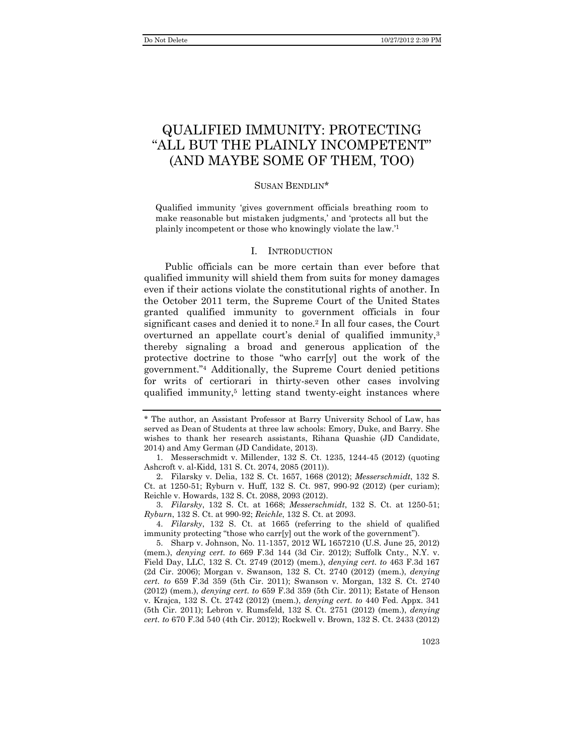# QUALIFIED IMMUNITY: PROTECTING "ALL BUT THE PLAINLY INCOMPETENT" (AND MAYBE SOME OF THEM, TOO)

#### SUSAN BENDLIN\*

Qualified immunity 'gives government officials breathing room to make reasonable but mistaken judgments,' and 'protects all but the plainly incompetent or those who knowingly violate the law.'1

#### I. INTRODUCTION

Public officials can be more certain than ever before that qualified immunity will shield them from suits for money damages even if their actions violate the constitutional rights of another. In the October 2011 term, the Supreme Court of the United States granted qualified immunity to government officials in four significant cases and denied it to none.<sup>2</sup> In all four cases, the Court overturned an appellate court's denial of qualified immunity,<sup>3</sup> thereby signaling a broad and generous application of the protective doctrine to those "who carr[y] out the work of the government."4 Additionally, the Supreme Court denied petitions for writs of certiorari in thirty-seven other cases involving qualified immunity,<sup>5</sup> letting stand twenty-eight instances where

 3. *Filarsky*, 132 S. Ct. at 1668; *Messerschmidt*, 132 S. Ct. at 1250-51; *Ryburn*, 132 S. Ct. at 990-92; *Reichle*, 132 S. Ct. at 2093.

 5. Sharp v. Johnson, No. 11-1357, 2012 WL 1657210 (U.S. June 25, 2012) (mem.), *denying cert. to* 669 F.3d 144 (3d Cir. 2012); Suffolk Cnty., N.Y. v. Field Day, LLC, 132 S. Ct. 2749 (2012) (mem.), *denying cert. to* 463 F.3d 167 (2d Cir. 2006); Morgan v. Swanson, 132 S. Ct. 2740 (2012) (mem.), *denying cert. to* 659 F.3d 359 (5th Cir. 2011); Swanson v. Morgan, 132 S. Ct. 2740 (2012) (mem.), *denying cert. to* 659 F.3d 359 (5th Cir. 2011); Estate of Henson v. Krajca, 132 S. Ct. 2742 (2012) (mem.), *denying cert. to* 440 Fed. Appx. 341 (5th Cir. 2011); Lebron v. Rumsfeld, 132 S. Ct. 2751 (2012) (mem.), *denying cert. to* 670 F.3d 540 (4th Cir. 2012); Rockwell v. Brown, 132 S. Ct. 2433 (2012)

<sup>\*</sup> The author, an Assistant Professor at Barry University School of Law, has served as Dean of Students at three law schools: Emory, Duke, and Barry. She wishes to thank her research assistants, Rihana Quashie (JD Candidate, 2014) and Amy German (JD Candidate, 2013).

 <sup>1.</sup> Messerschmidt v. Millender, 132 S. Ct. 1235, 1244-45 (2012) (quoting Ashcroft v. al-Kidd*,* 131 S. Ct. 2074, 2085 (2011)).

 <sup>2.</sup> Filarsky v. Delia, 132 S. Ct. 1657, 1668 (2012); *Messerschmidt*, 132 S. Ct. at 1250-51; Ryburn v. Huff, 132 S. Ct. 987, 990-92 (2012) (per curiam); Reichle v. Howards, 132 S. Ct. 2088, 2093 (2012).

 <sup>4.</sup> *Filarsky*, 132 S. Ct. at 1665 (referring to the shield of qualified immunity protecting "those who carr[y] out the work of the government").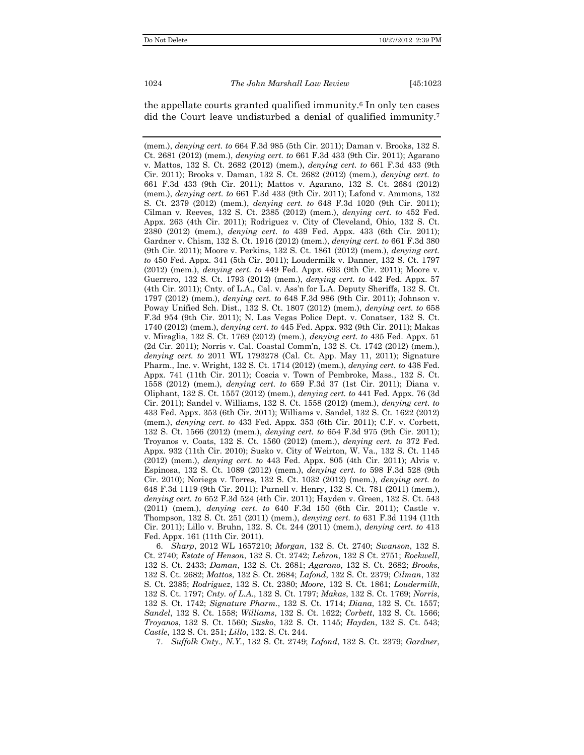the appellate courts granted qualified immunity.6 In only ten cases did the Court leave undisturbed a denial of qualified immunity.<sup>7</sup>

 6. *Sharp*, 2012 WL 1657210; *Morgan*, 132 S. Ct. 2740; *Swanson*, 132 S. Ct. 2740; *Estate of Henson*, 132 S. Ct. 2742; *Lebron*, 132 S Ct. 2751; *Rockwell*, 132 S. Ct. 2433; *Daman*, 132 S. Ct. 2681; *Agarano*, 132 S. Ct. 2682; *Brooks*, 132 S. Ct. 2682; *Mattos*, 132 S. Ct. 2684; *Lafond*, 132 S. Ct. 2379; *Cilman*, 132 S. Ct. 2385; *Rodriguez*, 132 S. Ct. 2380; *Moore*, 132 S. Ct. 1861; *Loudermilk*, 132 S. Ct. 1797; *Cnty. of L.A.*, 132 S. Ct. 1797; *Makas*, 132 S. Ct. 1769; *Norris*, 132 S. Ct. 1742; *Signature Pharm.*, 132 S. Ct. 1714; *Diana*, 132 S. Ct. 1557; *Sandel*, 132 S. Ct. 1558; *Williams*, 132 S. Ct. 1622; *Corbett*, 132 S. Ct. 1566; *Troyanos*, 132 S. Ct. 1560; *Susko*, 132 S. Ct. 1145; *Hayden*, 132 S. Ct. 543; *Castle*, 132 S. Ct. 251; *Lillo*, 132. S. Ct. 244.

7. *Suffolk Cnty., N.Y.*, 132 S. Ct. 2749; *Lafond*, 132 S. Ct. 2379; *Gardner*,

<sup>(</sup>mem.), *denying cert. to* 664 F.3d 985 (5th Cir. 2011); Daman v. Brooks, 132 S. Ct. 2681 (2012) (mem.), *denying cert. to* 661 F.3d 433 (9th Cir. 2011); Agarano v. Mattos, 132 S. Ct. 2682 (2012) (mem.), *denying cert. to* 661 F.3d 433 (9th Cir. 2011); Brooks v. Daman, 132 S. Ct. 2682 (2012) (mem.), *denying cert. to*  661 F.3d 433 (9th Cir. 2011); Mattos v. Agarano, 132 S. Ct. 2684 (2012) (mem.), *denying cert. to* 661 F.3d 433 (9th Cir. 2011); Lafond v. Ammons, 132 S. Ct. 2379 (2012) (mem.), *denying cert. to* 648 F.3d 1020 (9th Cir. 2011); Cilman v. Reeves, 132 S. Ct. 2385 (2012) (mem.), *denying cert. to* 452 Fed. Appx. 263 (4th Cir. 2011); Rodriguez v. City of Cleveland, Ohio, 132 S. Ct. 2380 (2012) (mem.), *denying cert. to* 439 Fed. Appx. 433 (6th Cir. 2011); Gardner v. Chism, 132 S. Ct. 1916 (2012) (mem.), *denying cert. to* 661 F.3d 380 (9th Cir. 2011); Moore v. Perkins, 132 S. Ct. 1861 (2012) (mem.), *denying cert. to* 450 Fed. Appx. 341 (5th Cir. 2011); Loudermilk v. Danner, 132 S. Ct. 1797 (2012) (mem.), *denying cert. to* 449 Fed. Appx. 693 (9th Cir. 2011); Moore v. Guerrero, 132 S. Ct. 1793 (2012) (mem.), *denying cert. to* 442 Fed. Appx. 57 (4th Cir. 2011); Cnty. of L.A., Cal. v. Ass'n for L.A. Deputy Sheriffs, 132 S. Ct. 1797 (2012) (mem.), *denying cert. to* 648 F.3d 986 (9th Cir. 2011); Johnson v. Poway Unified Sch. Dist., 132 S. Ct. 1807 (2012) (mem.), *denying cert. to* 658 F.3d 954 (9th Cir. 2011); N. Las Vegas Police Dept. v. Conatser, 132 S. Ct. 1740 (2012) (mem.), *denying cert. to* 445 Fed. Appx. 932 (9th Cir. 2011); Makas v. Miraglia, 132 S. Ct. 1769 (2012) (mem.), *denying cert. to* 435 Fed. Appx. 51 (2d Cir. 2011); Norris v. Cal. Coastal Comm'n, 132 S. Ct. 1742 (2012) (mem.), *denying cert. to* 2011 WL 1793278 (Cal. Ct. App. May 11, 2011); Signature Pharm., Inc. v. Wright, 132 S. Ct. 1714 (2012) (mem.), *denying cert. to* 438 Fed. Appx. 741 (11th Cir. 2011); Coscia v. Town of Pembroke, Mass., 132 S. Ct. 1558 (2012) (mem.), *denying cert. to* 659 F.3d 37 (1st Cir. 2011); Diana v. Oliphant, 132 S. Ct. 1557 (2012) (mem.), *denying cert. to* 441 Fed. Appx. 76 (3d Cir. 2011); Sandel v. Williams, 132 S. Ct. 1558 (2012) (mem.), *denying cert. to*  433 Fed. Appx. 353 (6th Cir. 2011); Williams v. Sandel, 132 S. Ct. 1622 (2012) (mem.), *denying cert. to* 433 Fed. Appx. 353 (6th Cir. 2011); C.F. v. Corbett, 132 S. Ct. 1566 (2012) (mem.), *denying cert. to* 654 F.3d 975 (9th Cir. 2011); Troyanos v. Coats, 132 S. Ct. 1560 (2012) (mem.), *denying cert. to* 372 Fed. Appx. 932 (11th Cir. 2010); Susko v. City of Weirton, W. Va., 132 S. Ct. 1145 (2012) (mem.), *denying cert. to* 443 Fed. Appx. 805 (4th Cir. 2011); Alvis v. Espinosa, 132 S. Ct. 1089 (2012) (mem.), *denying cert. to* 598 F.3d 528 (9th Cir. 2010); Noriega v. Torres, 132 S. Ct. 1032 (2012) (mem.), *denying cert. to*  648 F.3d 1119 (9th Cir. 2011); Purnell v. Henry, 132 S. Ct. 781 (2011) (mem.), *denying cert. to* 652 F.3d 524 (4th Cir. 2011); Hayden v. Green, 132 S. Ct. 543 (2011) (mem.), *denying cert. to* 640 F.3d 150 (6th Cir. 2011); Castle v. Thompson, 132 S. Ct. 251 (2011) (mem.), *denying cert. to* 631 F.3d 1194 (11th Cir. 2011); Lillo v. Bruhn, 132. S. Ct. 244 (2011) (mem.), *denying cert. to* 413 Fed. Appx. 161 (11th Cir. 2011).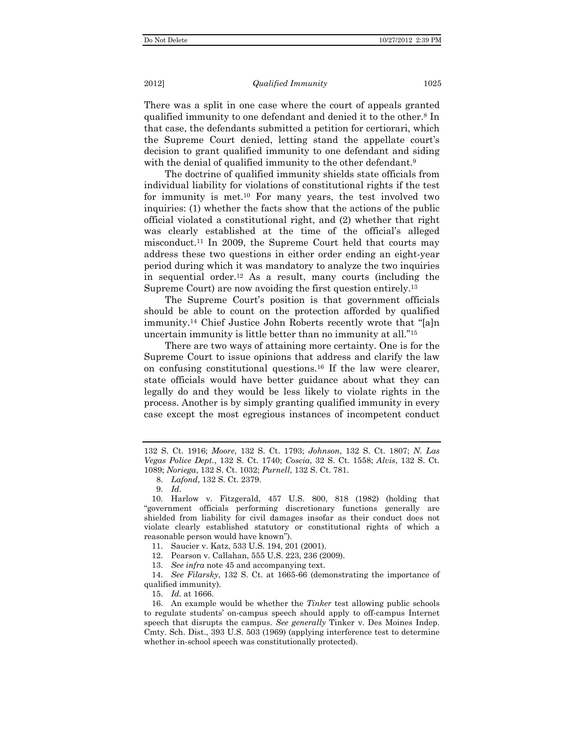There was a split in one case where the court of appeals granted qualified immunity to one defendant and denied it to the other.8 In that case, the defendants submitted a petition for certiorari, which the Supreme Court denied, letting stand the appellate court's decision to grant qualified immunity to one defendant and siding with the denial of qualified immunity to the other defendant.<sup>9</sup>

The doctrine of qualified immunity shields state officials from individual liability for violations of constitutional rights if the test for immunity is met.10 For many years, the test involved two inquiries: (1) whether the facts show that the actions of the public official violated a constitutional right, and (2) whether that right was clearly established at the time of the official's alleged misconduct.11 In 2009, the Supreme Court held that courts may address these two questions in either order ending an eight-year period during which it was mandatory to analyze the two inquiries in sequential order.12 As a result, many courts (including the Supreme Court) are now avoiding the first question entirely.<sup>13</sup>

The Supreme Court's position is that government officials should be able to count on the protection afforded by qualified immunity.14 Chief Justice John Roberts recently wrote that "[a]n uncertain immunity is little better than no immunity at all."15

There are two ways of attaining more certainty. One is for the Supreme Court to issue opinions that address and clarify the law on confusing constitutional questions.16 If the law were clearer, state officials would have better guidance about what they can legally do and they would be less likely to violate rights in the process. Another is by simply granting qualified immunity in every case except the most egregious instances of incompetent conduct

<sup>132</sup> S. Ct. 1916; *Moore*, 132 S. Ct. 1793; *Johnson*, 132 S. Ct. 1807; *N. Las Vegas Police Dept.*, 132 S. Ct. 1740; *Coscia*, 32 S. Ct. 1558; *Alvis*, 132 S. Ct. 1089; *Noriega*, 132 S. Ct. 1032; *Purnell*, 132 S. Ct. 781.

 <sup>8.</sup> *Lafond*, 132 S. Ct. 2379.

 <sup>9.</sup> *Id.* 

 <sup>10.</sup> Harlow v. Fitzgerald, 457 U.S. 800, 818 (1982) (holding that "government officials performing discretionary functions generally are shielded from liability for civil damages insofar as their conduct does not violate clearly established statutory or constitutional rights of which a reasonable person would have known").

 <sup>11.</sup> Saucier v. Katz, 533 U.S. 194, 201 (2001).

 <sup>12.</sup> Pearson v. Callahan, 555 U.S. 223, 236 (2009).

 <sup>13.</sup> *See infra* note 45 and accompanying text.

 <sup>14.</sup> *See Filarsky*, 132 S. Ct. at 1665-66 (demonstrating the importance of qualified immunity).

 <sup>15.</sup> *Id.* at 1666.

 <sup>16.</sup> An example would be whether the *Tinker* test allowing public schools to regulate students' on-campus speech should apply to off-campus Internet speech that disrupts the campus. *See generally* Tinker v. Des Moines Indep. Cmty. Sch. Dist., 393 U.S. 503 (1969) (applying interference test to determine whether in-school speech was constitutionally protected).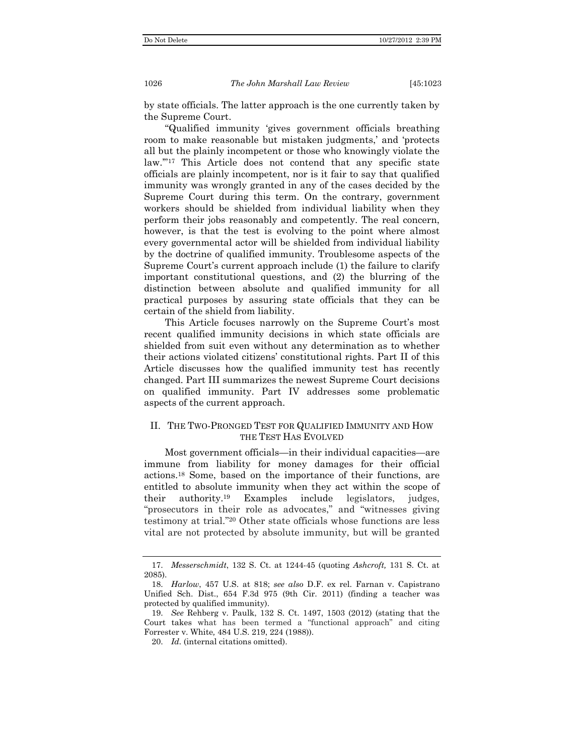by state officials. The latter approach is the one currently taken by the Supreme Court.

"Qualified immunity 'gives government officials breathing room to make reasonable but mistaken judgments,' and 'protects all but the plainly incompetent or those who knowingly violate the law.'"17 This Article does not contend that any specific state officials are plainly incompetent, nor is it fair to say that qualified immunity was wrongly granted in any of the cases decided by the Supreme Court during this term. On the contrary, government workers should be shielded from individual liability when they perform their jobs reasonably and competently. The real concern, however, is that the test is evolving to the point where almost every governmental actor will be shielded from individual liability by the doctrine of qualified immunity. Troublesome aspects of the Supreme Court's current approach include (1) the failure to clarify important constitutional questions, and (2) the blurring of the distinction between absolute and qualified immunity for all practical purposes by assuring state officials that they can be certain of the shield from liability.

This Article focuses narrowly on the Supreme Court's most recent qualified immunity decisions in which state officials are shielded from suit even without any determination as to whether their actions violated citizens' constitutional rights. Part II of this Article discusses how the qualified immunity test has recently changed. Part III summarizes the newest Supreme Court decisions on qualified immunity. Part IV addresses some problematic aspects of the current approach.

## II. THE TWO-PRONGED TEST FOR QUALIFIED IMMUNITY AND HOW THE TEST HAS EVOLVED

Most government officials—in their individual capacities—are immune from liability for money damages for their official actions.18 Some, based on the importance of their functions, are entitled to absolute immunity when they act within the scope of their authority.19 Examples include legislators, judges, "prosecutors in their role as advocates," and "witnesses giving testimony at trial."20 Other state officials whose functions are less vital are not protected by absolute immunity, but will be granted

 <sup>17.</sup> *Messerschmidt*, 132 S. Ct. at 1244-45 (quoting *Ashcroft,* 131 S. Ct. at 2085).

 <sup>18.</sup> *Harlow*, 457 U.S. at 818; *see also* D.F. ex rel. Farnan v. Capistrano Unified Sch. Dist., 654 F.3d 975 (9th Cir. 2011) (finding a teacher was protected by qualified immunity).

 <sup>19.</sup> *See* Rehberg v. Paulk, 132 S. Ct. 1497, 1503 (2012) (stating that the Court takes what has been termed a "functional approach" and citing Forrester v. White*,* 484 U.S. 219, 224 (1988)).

 <sup>20.</sup> *Id.* (internal citations omitted).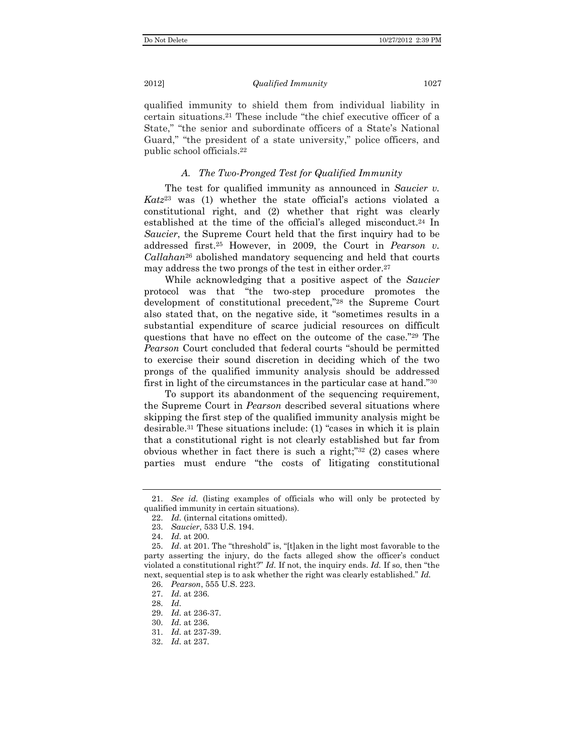#### 2012] *Qualified Immunity* 1027

qualified immunity to shield them from individual liability in certain situations.21 These include "the chief executive officer of a State," "the senior and subordinate officers of a State's National Guard," "the president of a state university," police officers, and public school officials.22

## *A. The Two-Pronged Test for Qualified Immunity*

The test for qualified immunity as announced in *Saucier v. Katz*23 was (1) whether the state official's actions violated a constitutional right, and (2) whether that right was clearly established at the time of the official's alleged misconduct.24 In *Saucier*, the Supreme Court held that the first inquiry had to be addressed first.25 However, in 2009, the Court in *Pearson v. Callahan*26 abolished mandatory sequencing and held that courts may address the two prongs of the test in either order.<sup>27</sup>

While acknowledging that a positive aspect of the *Saucier* protocol was that "the two-step procedure promotes the development of constitutional precedent,"28 the Supreme Court also stated that, on the negative side, it "sometimes results in a substantial expenditure of scarce judicial resources on difficult questions that have no effect on the outcome of the case."29 The *Pearson* Court concluded that federal courts "should be permitted to exercise their sound discretion in deciding which of the two prongs of the qualified immunity analysis should be addressed first in light of the circumstances in the particular case at hand."30

To support its abandonment of the sequencing requirement, the Supreme Court in *Pearson* described several situations where skipping the first step of the qualified immunity analysis might be desirable.31 These situations include: (1) "cases in which it is plain that a constitutional right is not clearly established but far from obvious whether in fact there is such a right;" $32$  (2) cases where parties must endure "the costs of litigating constitutional

 <sup>21.</sup> *See id.* (listing examples of officials who will only be protected by qualified immunity in certain situations).

 <sup>22.</sup> *Id.* (internal citations omitted).

 <sup>23.</sup> *Saucier*, 533 U.S. 194.

 <sup>24.</sup> *Id.* at 200.

 <sup>25.</sup> *Id*. at 201. The "threshold" is, "[t]aken in the light most favorable to the party asserting the injury, do the facts alleged show the officer's conduct violated a constitutional right?" *Id.* If not, the inquiry ends. *Id.* If so, then "the next, sequential step is to ask whether the right was clearly established." *Id.*

 <sup>26.</sup> *Pearson*, 555 U.S. 223.

 <sup>27.</sup> *Id.* at 236.

 <sup>28.</sup> *Id.*

 <sup>29.</sup> *Id.* at 236-37.

 <sup>30.</sup> *Id.* at 236.

 <sup>31.</sup> *Id.* at 237-39.

 <sup>32.</sup> *Id.* at 237.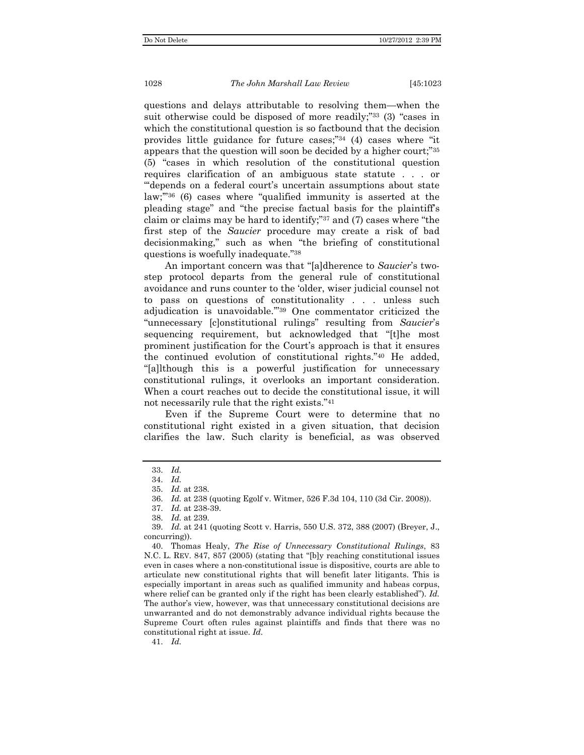questions and delays attributable to resolving them—when the suit otherwise could be disposed of more readily;"33 (3) "cases in which the constitutional question is so factbound that the decision provides little guidance for future cases;"34 (4) cases where "it appears that the question will soon be decided by a higher court;"35 (5) "cases in which resolution of the constitutional question requires clarification of an ambiguous state statute . . . or "'depends on a federal court's uncertain assumptions about state law;'"36 (6) cases where "qualified immunity is asserted at the pleading stage" and "the precise factual basis for the plaintiff's claim or claims may be hard to identify;"37 and (7) cases where "the first step of the *Saucier* procedure may create a risk of bad decisionmaking," such as when "the briefing of constitutional questions is woefully inadequate."38

An important concern was that "[a]dherence to *Saucier*'s twostep protocol departs from the general rule of constitutional avoidance and runs counter to the 'older, wiser judicial counsel not to pass on questions of constitutionality . . . unless such adjudication is unavoidable.'"39 One commentator criticized the "unnecessary [c]onstitutional rulings" resulting from *Saucier*'s sequencing requirement, but acknowledged that "[t]he most prominent justification for the Court's approach is that it ensures the continued evolution of constitutional rights."40 He added, "[a]lthough this is a powerful justification for unnecessary constitutional rulings, it overlooks an important consideration. When a court reaches out to decide the constitutional issue, it will not necessarily rule that the right exists."41

Even if the Supreme Court were to determine that no constitutional right existed in a given situation, that decision clarifies the law. Such clarity is beneficial, as was observed

41. *Id.*

 <sup>33.</sup> *Id.*

 <sup>34.</sup> *Id.*

 <sup>35.</sup> *Id.* at 238.

 <sup>36.</sup> *Id.* at 238 (quoting Egolf v. Witmer, 526 F.3d 104, 110 (3d Cir. 2008)).

 <sup>37.</sup> *Id.* at 238-39.

 <sup>38.</sup> *Id.* at 239.

 <sup>39.</sup> *Id.* at 241 (quoting Scott v. Harris, 550 U.S. 372, 388 (2007) (Breyer, J., concurring)).

 <sup>40.</sup> Thomas Healy, *The Rise of Unnecessary Constitutional Rulings*, 83 N.C. L. REV. 847, 857 (2005) (stating that "[b]y reaching constitutional issues even in cases where a non-constitutional issue is dispositive, courts are able to articulate new constitutional rights that will benefit later litigants. This is especially important in areas such as qualified immunity and habeas corpus, where relief can be granted only if the right has been clearly established"). *Id.* The author's view, however, was that unnecessary constitutional decisions are unwarranted and do not demonstrably advance individual rights because the Supreme Court often rules against plaintiffs and finds that there was no constitutional right at issue. *Id.*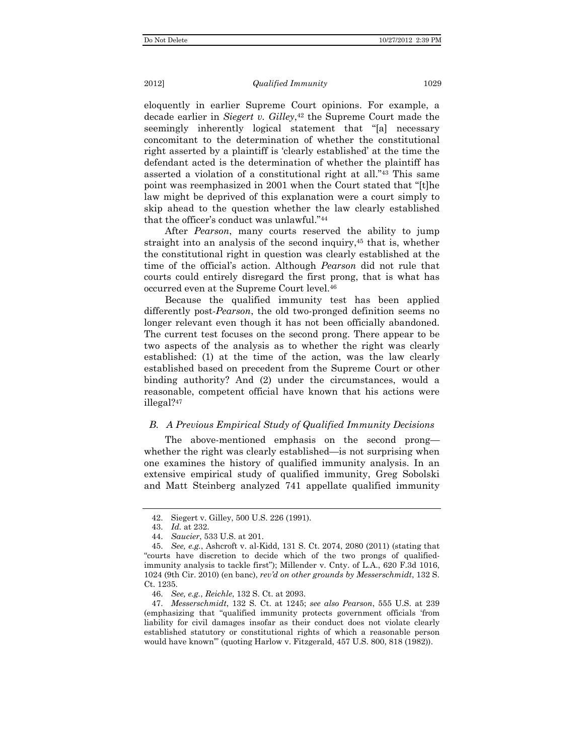#### 2012] *Qualified Immunity* 1029

eloquently in earlier Supreme Court opinions. For example, a decade earlier in *Siegert v. Gilley*,<sup>42</sup> the Supreme Court made the seemingly inherently logical statement that "[a] necessary concomitant to the determination of whether the constitutional right asserted by a plaintiff is 'clearly established' at the time the defendant acted is the determination of whether the plaintiff has asserted a violation of a constitutional right at all."43 This same point was reemphasized in 2001 when the Court stated that "[t]he law might be deprived of this explanation were a court simply to skip ahead to the question whether the law clearly established that the officer's conduct was unlawful."44

After *Pearson*, many courts reserved the ability to jump straight into an analysis of the second inquiry,<sup>45</sup> that is, whether the constitutional right in question was clearly established at the time of the official's action. Although *Pearson* did not rule that courts could entirely disregard the first prong, that is what has occurred even at the Supreme Court level.46

Because the qualified immunity test has been applied differently post-*Pearson*, the old two-pronged definition seems no longer relevant even though it has not been officially abandoned. The current test focuses on the second prong. There appear to be two aspects of the analysis as to whether the right was clearly established: (1) at the time of the action, was the law clearly established based on precedent from the Supreme Court or other binding authority? And (2) under the circumstances, would a reasonable, competent official have known that his actions were illegal?47

## *B. A Previous Empirical Study of Qualified Immunity Decisions*

The above-mentioned emphasis on the second prong whether the right was clearly established—is not surprising when one examines the history of qualified immunity analysis. In an extensive empirical study of qualified immunity, Greg Sobolski and Matt Steinberg analyzed 741 appellate qualified immunity

 <sup>42.</sup> Siegert v. Gilley, 500 U.S. 226 (1991).

 <sup>43.</sup> *Id.* at 232.

 <sup>44.</sup> *Saucier*, 533 U.S. at 201.

 <sup>45.</sup> *See, e.g.*, Ashcroft v. al-Kidd, 131 S. Ct. 2074, 2080 (2011) (stating that "courts have discretion to decide which of the two prongs of qualifiedimmunity analysis to tackle first"); Millender v. Cnty. of L.A., 620 F.3d 1016, 1024 (9th Cir. 2010) (en banc), *rev'd on other grounds by Messerschmidt*, 132 S. Ct. 1235.

 <sup>46.</sup> *See, e.g.*, *Reichle*, 132 S. Ct. at 2093.

 <sup>47.</sup> *Messerschmidt*, 132 S. Ct. at 1245; *see also Pearson*, 555 U.S. at 239 (emphasizing that "qualified immunity protects government officials 'from liability for civil damages insofar as their conduct does not violate clearly established statutory or constitutional rights of which a reasonable person would have known'" (quoting Harlow v. Fitzgerald, 457 U.S. 800, 818 (1982)).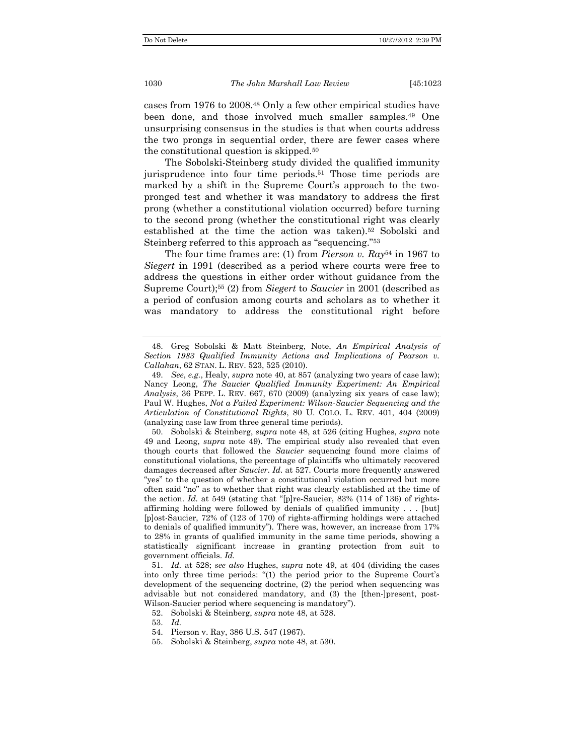cases from 1976 to 2008.48 Only a few other empirical studies have been done, and those involved much smaller samples.49 One unsurprising consensus in the studies is that when courts address the two prongs in sequential order, there are fewer cases where the constitutional question is skipped.50

The Sobolski-Steinberg study divided the qualified immunity jurisprudence into four time periods.51 Those time periods are marked by a shift in the Supreme Court's approach to the twopronged test and whether it was mandatory to address the first prong (whether a constitutional violation occurred) before turning to the second prong (whether the constitutional right was clearly established at the time the action was taken).52 Sobolski and Steinberg referred to this approach as "sequencing."53

The four time frames are: (1) from *Pierson v. Ray*54 in 1967 to *Siegert* in 1991 (described as a period where courts were free to address the questions in either order without guidance from the Supreme Court);55 (2) from *Siegert* to *Saucier* in 2001 (described as a period of confusion among courts and scholars as to whether it was mandatory to address the constitutional right before

 <sup>48.</sup> Greg Sobolski & Matt Steinberg, Note, *An Empirical Analysis of Section 1983 Qualified Immunity Actions and Implications of Pearson v. Callahan*, 62 STAN. L. REV. 523, 525 (2010).

 <sup>49.</sup> *See*, *e.g.*, Healy, *supra* note 40, at 857 (analyzing two years of case law); Nancy Leong, *The Saucier Qualified Immunity Experiment: An Empirical Analysis*, 36 PEPP. L. REV. 667, 670 (2009) (analyzing six years of case law); Paul W. Hughes, *Not a Failed Experiment: Wilson-Saucier Sequencing and the Articulation of Constitutional Rights*, 80 U. COLO. L. REV. 401, 404 (2009) (analyzing case law from three general time periods).

 <sup>50.</sup> Sobolski & Steinberg, *supra* note 48, at 526 (citing Hughes, *supra* note 49 and Leong, *supra* note 49). The empirical study also revealed that even though courts that followed the *Saucier* sequencing found more claims of constitutional violations, the percentage of plaintiffs who ultimately recovered damages decreased after *Saucier*. *Id.* at 527. Courts more frequently answered "yes" to the question of whether a constitutional violation occurred but more often said "no" as to whether that right was clearly established at the time of the action. *Id.* at 549 (stating that "[p]re-Saucier, 83% (114 of 136) of rightsaffirming holding were followed by denials of qualified immunity . . . [but] [p]ost-Saucier, 72% of (123 of 170) of rights-affirming holdings were attached to denials of qualified immunity"). There was, however, an increase from 17% to 28% in grants of qualified immunity in the same time periods, showing a statistically significant increase in granting protection from suit to government officials. *Id.*

 <sup>51.</sup> *Id.* at 528; *see also* Hughes, *supra* note 49, at 404 (dividing the cases into only three time periods: "(1) the period prior to the Supreme Court's development of the sequencing doctrine, (2) the period when sequencing was advisable but not considered mandatory, and (3) the [then-]present, post-Wilson-Saucier period where sequencing is mandatory").

 <sup>52.</sup> Sobolski & Steinberg, *supra* note 48, at 528.

 <sup>53.</sup> *Id.*

 <sup>54.</sup> Pierson v. Ray, 386 U.S. 547 (1967).

 <sup>55.</sup> Sobolski & Steinberg, *supra* note 48, at 530.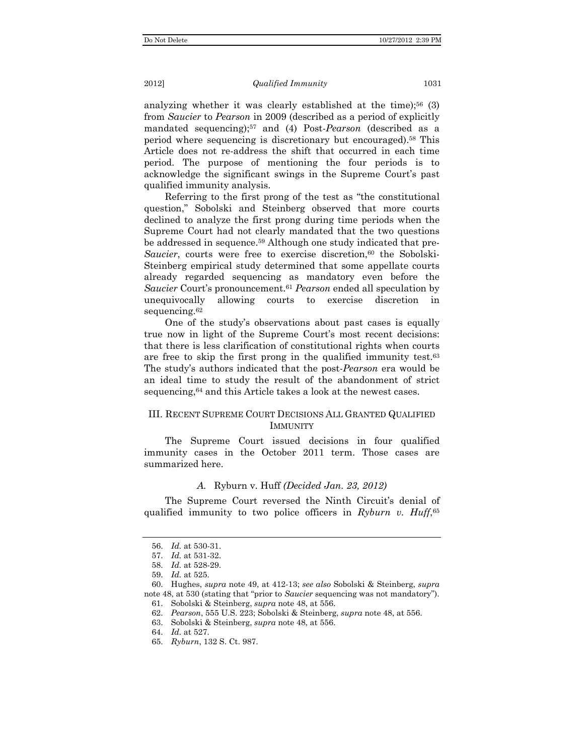analyzing whether it was clearly established at the time);<sup>56</sup>  $(3)$ from *Saucier* to *Pearson* in 2009 (described as a period of explicitly mandated sequencing);57 and (4) Post-*Pearson* (described as a period where sequencing is discretionary but encouraged).58 This Article does not re-address the shift that occurred in each time period. The purpose of mentioning the four periods is to acknowledge the significant swings in the Supreme Court's past qualified immunity analysis.

Referring to the first prong of the test as "the constitutional question," Sobolski and Steinberg observed that more courts declined to analyze the first prong during time periods when the Supreme Court had not clearly mandated that the two questions be addressed in sequence.59 Although one study indicated that pre-*Saucier*, courts were free to exercise discretion,<sup>60</sup> the Sobolski-Steinberg empirical study determined that some appellate courts already regarded sequencing as mandatory even before the *Saucier* Court's pronouncement.61 *Pearson* ended all speculation by unequivocally allowing courts to exercise discretion in sequencing.<sup>62</sup>

One of the study's observations about past cases is equally true now in light of the Supreme Court's most recent decisions: that there is less clarification of constitutional rights when courts are free to skip the first prong in the qualified immunity test.63 The study's authors indicated that the post-*Pearson* era would be an ideal time to study the result of the abandonment of strict sequencing,<sup>64</sup> and this Article takes a look at the newest cases.

## III. RECENT SUPREME COURT DECISIONS ALL GRANTED QUALIFIED **IMMUNITY**

The Supreme Court issued decisions in four qualified immunity cases in the October 2011 term. Those cases are summarized here.

#### *A.* Ryburn v. Huff *(Decided Jan. 23, 2012)*

The Supreme Court reversed the Ninth Circuit's denial of qualified immunity to two police officers in *Ryburn v. Huff*,65

 <sup>56.</sup> *Id.* at 530-31.

 <sup>57.</sup> *Id.* at 531-32.

 <sup>58.</sup> *Id.* at 528-29.

 <sup>59.</sup> *Id.* at 525.

 <sup>60.</sup> Hughes, *supra* note 49, at 412-13; *see also* Sobolski & Steinberg, *supra* note 48, at 530 (stating that "prior to *Saucier* sequencing was not mandatory"). 61. Sobolski & Steinberg, *supra* note 48, at 556.

 <sup>62.</sup> *Pearson*, 555 U.S. 223; Sobolski & Steinberg, *supra* note 48, at 556.

 <sup>63.</sup> Sobolski & Steinberg, *supra* note 48, at 556.

 <sup>64.</sup> *Id.* at 527.

 <sup>65.</sup> *Ryburn*, 132 S. Ct. 987.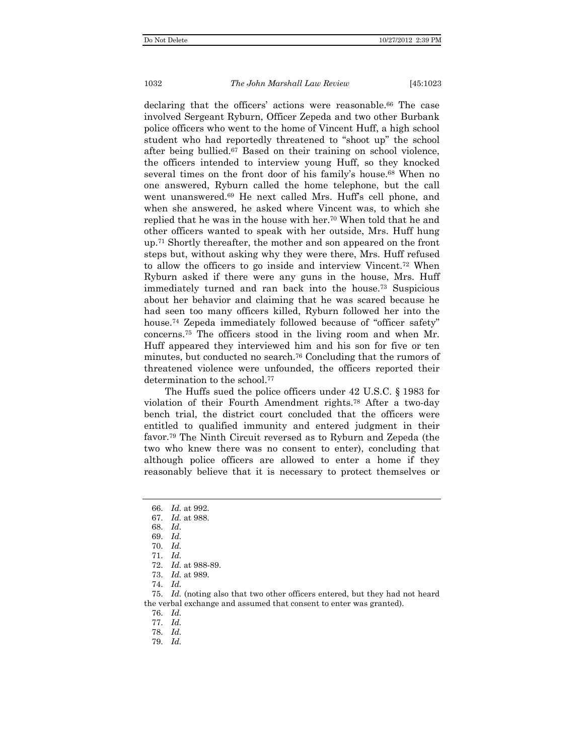declaring that the officers' actions were reasonable.<sup>66</sup> The case involved Sergeant Ryburn, Officer Zepeda and two other Burbank police officers who went to the home of Vincent Huff, a high school student who had reportedly threatened to "shoot up" the school after being bullied.67 Based on their training on school violence, the officers intended to interview young Huff, so they knocked several times on the front door of his family's house.<sup>68</sup> When no one answered, Ryburn called the home telephone, but the call went unanswered.69 He next called Mrs. Huff's cell phone, and when she answered, he asked where Vincent was, to which she replied that he was in the house with her.70 When told that he and other officers wanted to speak with her outside, Mrs. Huff hung up.71 Shortly thereafter, the mother and son appeared on the front steps but, without asking why they were there, Mrs. Huff refused to allow the officers to go inside and interview Vincent.72 When Ryburn asked if there were any guns in the house, Mrs. Huff immediately turned and ran back into the house.73 Suspicious about her behavior and claiming that he was scared because he had seen too many officers killed, Ryburn followed her into the house.<sup>74</sup> Zepeda immediately followed because of "officer safety" concerns.75 The officers stood in the living room and when Mr. Huff appeared they interviewed him and his son for five or ten minutes, but conducted no search.76 Concluding that the rumors of threatened violence were unfounded, the officers reported their determination to the school.<sup>77</sup>

The Huffs sued the police officers under 42 U.S.C. § 1983 for violation of their Fourth Amendment rights.78 After a two-day bench trial, the district court concluded that the officers were entitled to qualified immunity and entered judgment in their favor.79 The Ninth Circuit reversed as to Ryburn and Zepeda (the two who knew there was no consent to enter), concluding that although police officers are allowed to enter a home if they reasonably believe that it is necessary to protect themselves or

- 70. *Id.*
- 71. *Id.*
- 72. *Id.* at 988-89.
- 73. *Id.* at 989.
- 74. *Id.*

 75. *Id.* (noting also that two other officers entered, but they had not heard the verbal exchange and assumed that consent to enter was granted).

76. *Id.*

- 77. *Id.*
- 78. *Id.*
- 79. *Id.*

 <sup>66.</sup> *Id.* at 992.

 <sup>67.</sup> *Id.* at 988.

 <sup>68.</sup> *Id.* 

 <sup>69.</sup> *Id.*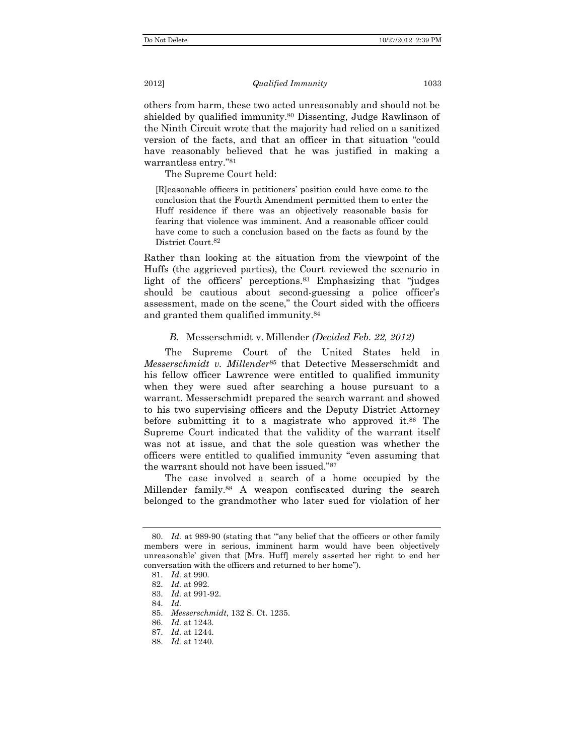others from harm, these two acted unreasonably and should not be shielded by qualified immunity.<sup>80</sup> Dissenting, Judge Rawlinson of the Ninth Circuit wrote that the majority had relied on a sanitized version of the facts, and that an officer in that situation "could have reasonably believed that he was justified in making a warrantless entry."81

The Supreme Court held:

[R]easonable officers in petitioners' position could have come to the conclusion that the Fourth Amendment permitted them to enter the Huff residence if there was an objectively reasonable basis for fearing that violence was imminent. And a reasonable officer could have come to such a conclusion based on the facts as found by the District Court.82

Rather than looking at the situation from the viewpoint of the Huffs (the aggrieved parties), the Court reviewed the scenario in light of the officers' perceptions.83 Emphasizing that "judges should be cautious about second-guessing a police officer's assessment, made on the scene," the Court sided with the officers and granted them qualified immunity.84

#### *B.* Messerschmidt v. Millender *(Decided Feb. 22, 2012)*

The Supreme Court of the United States held in *Messerschmidt v. Millender*85 that Detective Messerschmidt and his fellow officer Lawrence were entitled to qualified immunity when they were sued after searching a house pursuant to a warrant. Messerschmidt prepared the search warrant and showed to his two supervising officers and the Deputy District Attorney before submitting it to a magistrate who approved it.<sup>86</sup> The Supreme Court indicated that the validity of the warrant itself was not at issue, and that the sole question was whether the officers were entitled to qualified immunity "even assuming that the warrant should not have been issued."87

The case involved a search of a home occupied by the Millender family.88 A weapon confiscated during the search belonged to the grandmother who later sued for violation of her

 <sup>80.</sup> *Id.* at 989-90 (stating that '"any belief that the officers or other family members were in serious, imminent harm would have been objectively unreasonable' given that [Mrs. Huff] merely asserted her right to end her conversation with the officers and returned to her home").

 <sup>81.</sup> *Id.* at 990.

 <sup>82.</sup> *Id.* at 992.

 <sup>83.</sup> *Id.* at 991-92.

 <sup>84.</sup> *Id.*

 <sup>85.</sup> *Messerschmidt*, 132 S. Ct. 1235.

 <sup>86.</sup> *Id.* at 1243.

 <sup>87.</sup> *Id.* at 1244.

 <sup>88.</sup> *Id.* at 1240.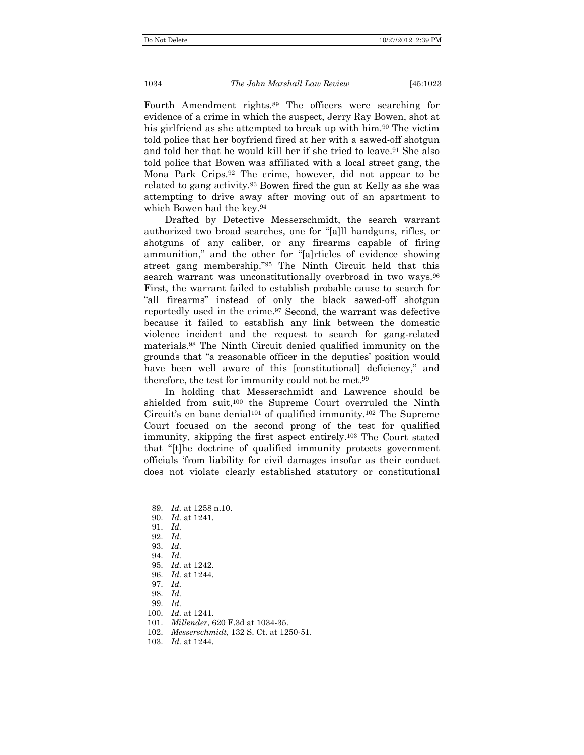Fourth Amendment rights.89 The officers were searching for evidence of a crime in which the suspect, Jerry Ray Bowen, shot at his girlfriend as she attempted to break up with him.<sup>90</sup> The victim told police that her boyfriend fired at her with a sawed-off shotgun and told her that he would kill her if she tried to leave.<sup>91</sup> She also told police that Bowen was affiliated with a local street gang, the Mona Park Crips.92 The crime, however, did not appear to be related to gang activity.93 Bowen fired the gun at Kelly as she was attempting to drive away after moving out of an apartment to which Bowen had the key.94

Drafted by Detective Messerschmidt, the search warrant authorized two broad searches, one for "[a]ll handguns, rifles, or shotguns of any caliber, or any firearms capable of firing ammunition," and the other for "[a]rticles of evidence showing street gang membership."95 The Ninth Circuit held that this search warrant was unconstitutionally overbroad in two ways.<sup>96</sup> First, the warrant failed to establish probable cause to search for "all firearms" instead of only the black sawed-off shotgun reportedly used in the crime.97 Second, the warrant was defective because it failed to establish any link between the domestic violence incident and the request to search for gang-related materials.98 The Ninth Circuit denied qualified immunity on the grounds that "a reasonable officer in the deputies' position would have been well aware of this [constitutional] deficiency," and therefore, the test for immunity could not be met.99

In holding that Messerschmidt and Lawrence should be shielded from suit,<sup>100</sup> the Supreme Court overruled the Ninth Circuit's en banc denial<sup>101</sup> of qualified immunity.<sup>102</sup> The Supreme Court focused on the second prong of the test for qualified immunity, skipping the first aspect entirely.103 The Court stated that "[t]he doctrine of qualified immunity protects government officials 'from liability for civil damages insofar as their conduct does not violate clearly established statutory or constitutional

- 90. *Id.* at 1241.
- 91. *Id.*
- 92. *Id.*
- 93. *Id.*
- 94. *Id.*
- 95. *Id.* at 1242.
- 96. *Id.* at 1244.
- 97. *Id.*
- 98. *Id.*
- 99. *Id.*
- 100. *Id.* at 1241.
- 101. *Millender*, 620 F.3d at 1034-35.
- 102. *Messerschmidt*, 132 S. Ct. at 1250-51.
- 103. *Id.* at 1244.

 <sup>89.</sup> *Id.* at 1258 n.10.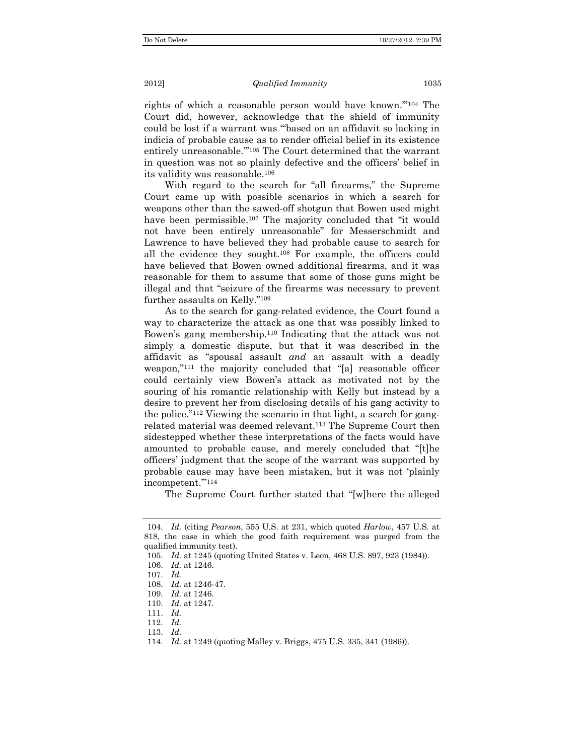rights of which a reasonable person would have known.'"104 The Court did, however, acknowledge that the shield of immunity could be lost if a warrant was "'based on an affidavit so lacking in indicia of probable cause as to render official belief in its existence entirely unreasonable.'"105 The Court determined that the warrant in question was not so plainly defective and the officers' belief in its validity was reasonable.106

With regard to the search for "all firearms," the Supreme Court came up with possible scenarios in which a search for weapons other than the sawed-off shotgun that Bowen used might have been permissible.<sup>107</sup> The majority concluded that "it would not have been entirely unreasonable" for Messerschmidt and Lawrence to have believed they had probable cause to search for all the evidence they sought.108 For example, the officers could have believed that Bowen owned additional firearms, and it was reasonable for them to assume that some of those guns might be illegal and that "seizure of the firearms was necessary to prevent further assaults on Kelly."109

As to the search for gang-related evidence, the Court found a way to characterize the attack as one that was possibly linked to Bowen's gang membership.110 Indicating that the attack was not simply a domestic dispute, but that it was described in the affidavit as "spousal assault *and* an assault with a deadly weapon,"111 the majority concluded that "[a] reasonable officer could certainly view Bowen's attack as motivated not by the souring of his romantic relationship with Kelly but instead by a desire to prevent her from disclosing details of his gang activity to the police."112 Viewing the scenario in that light, a search for gangrelated material was deemed relevant.113 The Supreme Court then sidestepped whether these interpretations of the facts would have amounted to probable cause, and merely concluded that "[t]he officers' judgment that the scope of the warrant was supported by probable cause may have been mistaken, but it was not 'plainly incompetent.'"114

The Supreme Court further stated that "[w]here the alleged

 <sup>104.</sup> *Id.* (citing *Pearson*, 555 U.S. at 231, which quoted *Harlow*, 457 U.S. at 818, the case in which the good faith requirement was purged from the qualified immunity test).

 <sup>105.</sup> *Id.* at 1245 (quoting United States v. Leon, 468 U.S. 897, 923 (1984)).

 <sup>106.</sup> *Id.* at 1246.

 <sup>107.</sup> *Id.*

 <sup>108.</sup> *Id.* at 1246-47.

 <sup>109.</sup> *Id.* at 1246.

 <sup>110.</sup> *Id.* at 1247.

 <sup>111.</sup> *Id.*

 <sup>112.</sup> *Id.*

 <sup>113.</sup> *Id.*

 <sup>114.</sup> *Id.* at 1249 (quoting Malley v. Briggs, 475 U.S. 335, 341 (1986)).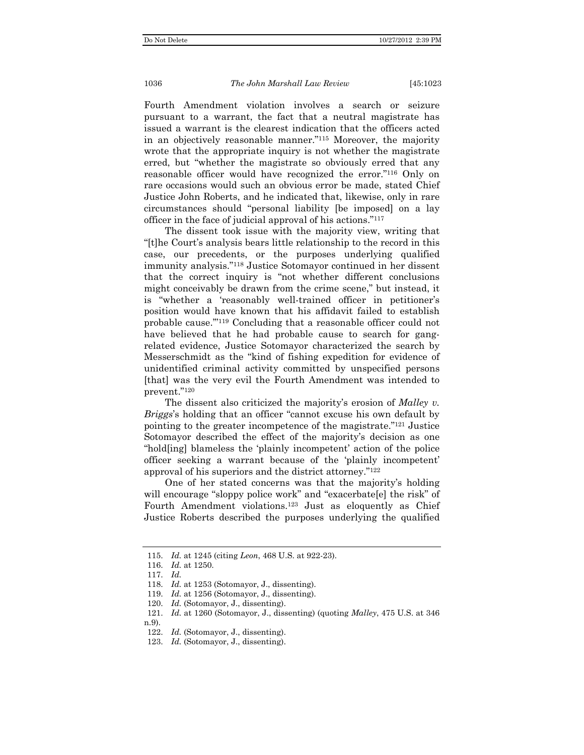Fourth Amendment violation involves a search or seizure pursuant to a warrant, the fact that a neutral magistrate has issued a warrant is the clearest indication that the officers acted in an objectively reasonable manner."115 Moreover, the majority wrote that the appropriate inquiry is not whether the magistrate erred, but "whether the magistrate so obviously erred that any reasonable officer would have recognized the error."116 Only on rare occasions would such an obvious error be made, stated Chief Justice John Roberts, and he indicated that, likewise, only in rare circumstances should "personal liability [be imposed] on a lay officer in the face of judicial approval of his actions."117

The dissent took issue with the majority view, writing that "[t]he Court's analysis bears little relationship to the record in this case, our precedents, or the purposes underlying qualified immunity analysis."118 Justice Sotomayor continued in her dissent that the correct inquiry is "not whether different conclusions might conceivably be drawn from the crime scene," but instead, it is "whether a 'reasonably well-trained officer in petitioner's position would have known that his affidavit failed to establish probable cause.'"119 Concluding that a reasonable officer could not have believed that he had probable cause to search for gangrelated evidence, Justice Sotomayor characterized the search by Messerschmidt as the "kind of fishing expedition for evidence of unidentified criminal activity committed by unspecified persons [that] was the very evil the Fourth Amendment was intended to prevent."120

The dissent also criticized the majority's erosion of *Malley v. Briggs*'s holding that an officer "cannot excuse his own default by pointing to the greater incompetence of the magistrate."121 Justice Sotomayor described the effect of the majority's decision as one "hold[ing] blameless the 'plainly incompetent' action of the police officer seeking a warrant because of the 'plainly incompetent' approval of his superiors and the district attorney."122

One of her stated concerns was that the majority's holding will encourage "sloppy police work" and "exacerbate[e] the risk" of Fourth Amendment violations.<sup>123</sup> Just as eloquently as Chief Justice Roberts described the purposes underlying the qualified

 <sup>115.</sup> *Id.* at 1245 (citing *Leon*, 468 U.S. at 922-23).

 <sup>116.</sup> *Id.* at 1250.

 <sup>117.</sup> *Id.*

 <sup>118.</sup> *Id.* at 1253 (Sotomayor, J., dissenting).

 <sup>119.</sup> *Id.* at 1256 (Sotomayor, J., dissenting).

 <sup>120.</sup> *Id.* (Sotomayor, J., dissenting).

 <sup>121.</sup> *Id.* at 1260 (Sotomayor, J., dissenting) (quoting *Malley*, 475 U.S. at 346 n.9).

 <sup>122.</sup> *Id.* (Sotomayor, J., dissenting).

 <sup>123.</sup> *Id.* (Sotomayor, J., dissenting).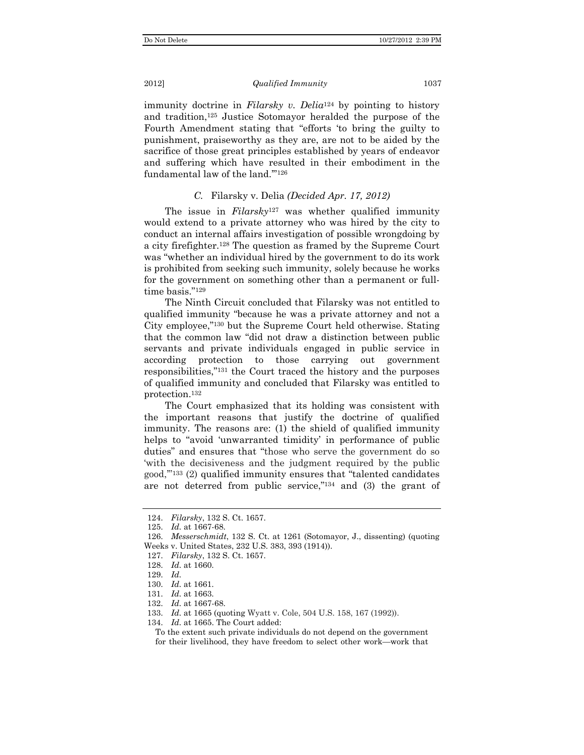#### 2012] *Qualified Immunity* 1037

immunity doctrine in *Filarsky v. Delia*124 by pointing to history and tradition,125 Justice Sotomayor heralded the purpose of the Fourth Amendment stating that "efforts 'to bring the guilty to punishment, praiseworthy as they are, are not to be aided by the sacrifice of those great principles established by years of endeavor and suffering which have resulted in their embodiment in the fundamental law of the land.'"126

## *C.* Filarsky v. Delia *(Decided Apr. 17, 2012)*

The issue in *Filarsky*127 was whether qualified immunity would extend to a private attorney who was hired by the city to conduct an internal affairs investigation of possible wrongdoing by a city firefighter.128 The question as framed by the Supreme Court was "whether an individual hired by the government to do its work is prohibited from seeking such immunity, solely because he works for the government on something other than a permanent or fulltime basis."129

The Ninth Circuit concluded that Filarsky was not entitled to qualified immunity "because he was a private attorney and not a City employee,"130 but the Supreme Court held otherwise. Stating that the common law "did not draw a distinction between public servants and private individuals engaged in public service in according protection to those carrying out government responsibilities,"131 the Court traced the history and the purposes of qualified immunity and concluded that Filarsky was entitled to protection.132

The Court emphasized that its holding was consistent with the important reasons that justify the doctrine of qualified immunity. The reasons are: (1) the shield of qualified immunity helps to "avoid 'unwarranted timidity' in performance of public duties" and ensures that "those who serve the government do so 'with the decisiveness and the judgment required by the public good,'"133 (2) qualified immunity ensures that "talented candidates are not deterred from public service,"134 and (3) the grant of

- 126. *Messerschmidt*, 132 S. Ct. at 1261 (Sotomayor, J., dissenting) (quoting Weeks v. United States, 232 U.S. 383, 393 (1914)).
- 127. *Filarsky*, 132 S. Ct. 1657.

134. *Id.* at 1665. The Court added:

To the extent such private individuals do not depend on the government for their livelihood, they have freedom to select other work—work that

 <sup>124.</sup> *Filarsky*, 132 S. Ct. 1657.

 <sup>125.</sup> *Id.* at 1667-68.

 <sup>128.</sup> *Id.* at 1660.

 <sup>129.</sup> *Id.*

 <sup>130.</sup> *Id.* at 1661.

 <sup>131.</sup> *Id.* at 1663.

 <sup>132.</sup> *Id.* at 1667-68.

 <sup>133.</sup> *Id.* at 1665 (quoting Wyatt v. Cole, 504 U.S. 158, 167 (1992)).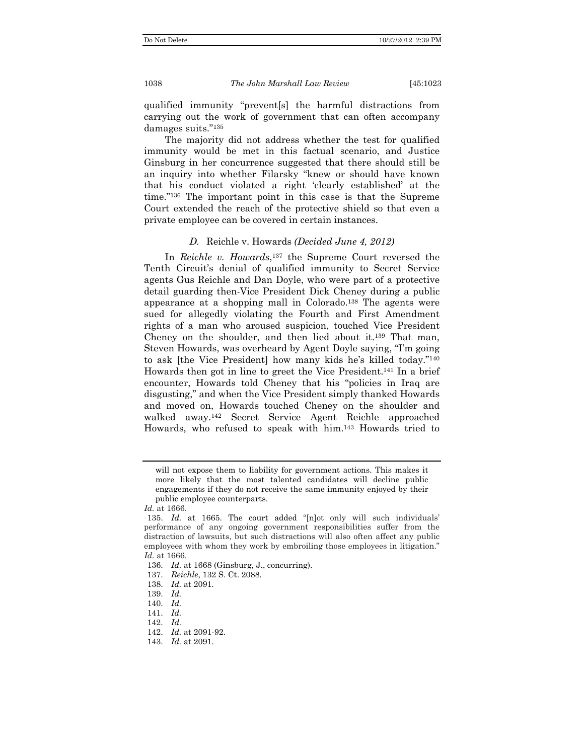qualified immunity "prevent[s] the harmful distractions from carrying out the work of government that can often accompany damages suits."135

The majority did not address whether the test for qualified immunity would be met in this factual scenario, and Justice Ginsburg in her concurrence suggested that there should still be an inquiry into whether Filarsky "knew or should have known that his conduct violated a right 'clearly established' at the time."136 The important point in this case is that the Supreme Court extended the reach of the protective shield so that even a private employee can be covered in certain instances.

#### *D.* Reichle v. Howards *(Decided June 4, 2012)*

In *Reichle v. Howards*,137 the Supreme Court reversed the Tenth Circuit's denial of qualified immunity to Secret Service agents Gus Reichle and Dan Doyle, who were part of a protective detail guarding then-Vice President Dick Cheney during a public appearance at a shopping mall in Colorado.138 The agents were sued for allegedly violating the Fourth and First Amendment rights of a man who aroused suspicion, touched Vice President Cheney on the shoulder, and then lied about it.139 That man, Steven Howards, was overheard by Agent Doyle saying, "I'm going to ask [the Vice President] how many kids he's killed today."140 Howards then got in line to greet the Vice President.141 In a brief encounter, Howards told Cheney that his "policies in Iraq are disgusting," and when the Vice President simply thanked Howards and moved on, Howards touched Cheney on the shoulder and walked away.142 Secret Service Agent Reichle approached Howards, who refused to speak with him.143 Howards tried to

will not expose them to liability for government actions. This makes it more likely that the most talented candidates will decline public engagements if they do not receive the same immunity enjoyed by their public employee counterparts.

*Id.* at 1666.

 <sup>135.</sup> *Id.* at 1665. The court added "[n]ot only will such individuals' performance of any ongoing government responsibilities suffer from the distraction of lawsuits, but such distractions will also often affect any public employees with whom they work by embroiling those employees in litigation." *Id.* at 1666.

 <sup>136.</sup> *Id.* at 1668 (Ginsburg, J., concurring).

 <sup>137.</sup> *Reichle*, 132 S. Ct. 2088.

 <sup>138.</sup> *Id.* at 2091.

 <sup>139.</sup> *Id.*

 <sup>140.</sup> *Id.*

 <sup>141.</sup> *Id.*

 <sup>142.</sup> *Id.*

 <sup>142.</sup> *Id.* at 2091-92.

 <sup>143.</sup> *Id.* at 2091.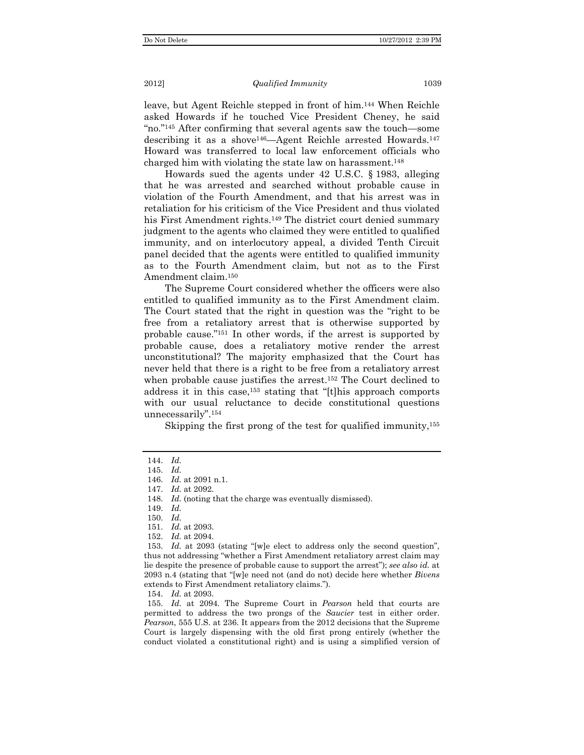leave, but Agent Reichle stepped in front of him.144 When Reichle asked Howards if he touched Vice President Cheney, he said "no."145 After confirming that several agents saw the touch—some describing it as a shove<sup>146</sup>—Agent Reichle arrested Howards.<sup>147</sup> Howard was transferred to local law enforcement officials who charged him with violating the state law on harassment.148

Howards sued the agents under 42 U.S.C. § 1983, alleging that he was arrested and searched without probable cause in violation of the Fourth Amendment, and that his arrest was in retaliation for his criticism of the Vice President and thus violated his First Amendment rights.<sup>149</sup> The district court denied summary judgment to the agents who claimed they were entitled to qualified immunity, and on interlocutory appeal, a divided Tenth Circuit panel decided that the agents were entitled to qualified immunity as to the Fourth Amendment claim, but not as to the First Amendment claim.150

The Supreme Court considered whether the officers were also entitled to qualified immunity as to the First Amendment claim. The Court stated that the right in question was the "right to be free from a retaliatory arrest that is otherwise supported by probable cause."151 In other words, if the arrest is supported by probable cause, does a retaliatory motive render the arrest unconstitutional? The majority emphasized that the Court has never held that there is a right to be free from a retaliatory arrest when probable cause justifies the arrest.<sup>152</sup> The Court declined to address it in this case,153 stating that "[t]his approach comports with our usual reluctance to decide constitutional questions unnecessarily".154

Skipping the first prong of the test for qualified immunity,<sup>155</sup>

152. *Id.* at 2094.

154. *Id.* at 2093.

 155. *Id.* at 2094. The Supreme Court in *Pearson* held that courts are permitted to address the two prongs of the *Saucier* test in either order. *Pearson*, 555 U.S. at 236. It appears from the 2012 decisions that the Supreme Court is largely dispensing with the old first prong entirely (whether the conduct violated a constitutional right) and is using a simplified version of

 <sup>144.</sup> *Id.*

 <sup>145.</sup> *Id.*

 <sup>146.</sup> *Id.* at 2091 n.1.

 <sup>147.</sup> *Id.* at 2092.

 <sup>148.</sup> *Id.* (noting that the charge was eventually dismissed).

 <sup>149.</sup> *Id.*

 <sup>150.</sup> *Id.*

 <sup>151.</sup> *Id.* at 2093.

 <sup>153.</sup> *Id.* at 2093 (stating "[w]e elect to address only the second question", thus not addressing "whether a First Amendment retaliatory arrest claim may lie despite the presence of probable cause to support the arrest"); *see also id.* at 2093 n.4 (stating that "[w]e need not (and do not) decide here whether *Bivens* extends to First Amendment retaliatory claims.").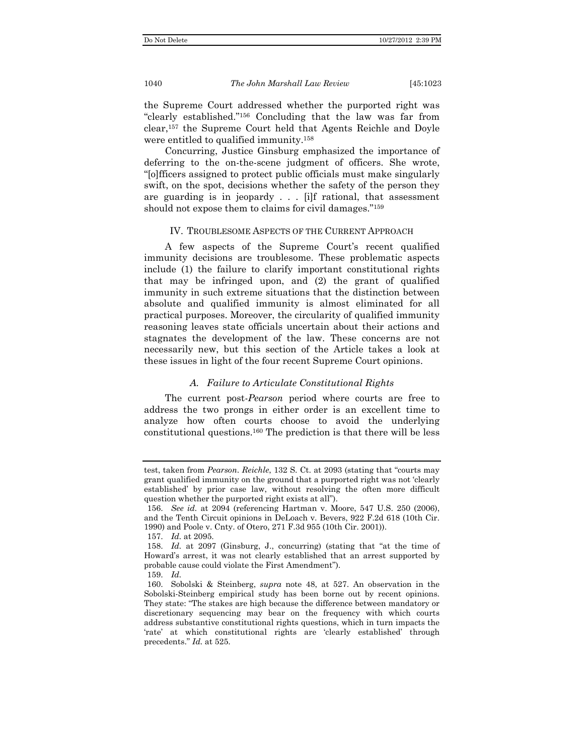the Supreme Court addressed whether the purported right was "clearly established."156 Concluding that the law was far from clear,157 the Supreme Court held that Agents Reichle and Doyle were entitled to qualified immunity.158

Concurring, Justice Ginsburg emphasized the importance of deferring to the on-the-scene judgment of officers. She wrote, "[o]fficers assigned to protect public officials must make singularly swift, on the spot, decisions whether the safety of the person they are guarding is in jeopardy . . . [i]f rational, that assessment should not expose them to claims for civil damages."159

#### IV. TROUBLESOME ASPECTS OF THE CURRENT APPROACH

A few aspects of the Supreme Court's recent qualified immunity decisions are troublesome. These problematic aspects include (1) the failure to clarify important constitutional rights that may be infringed upon, and (2) the grant of qualified immunity in such extreme situations that the distinction between absolute and qualified immunity is almost eliminated for all practical purposes. Moreover, the circularity of qualified immunity reasoning leaves state officials uncertain about their actions and stagnates the development of the law. These concerns are not necessarily new, but this section of the Article takes a look at these issues in light of the four recent Supreme Court opinions.

#### *A. Failure to Articulate Constitutional Rights*

The current post-*Pearson* period where courts are free to address the two prongs in either order is an excellent time to analyze how often courts choose to avoid the underlying constitutional questions.160 The prediction is that there will be less

test, taken from *Pearson*. *Reichle*, 132 S. Ct. at 2093 (stating that "courts may grant qualified immunity on the ground that a purported right was not 'clearly established' by prior case law, without resolving the often more difficult question whether the purported right exists at all").

 <sup>156.</sup> *See id.* at 2094 (referencing Hartman v. Moore, 547 U.S. 250 (2006), and the Tenth Circuit opinions in DeLoach v. Bevers, 922 F.2d 618 (10th Cir. 1990) and Poole v. Cnty. of Otero, 271 F.3d 955 (10th Cir. 2001)).

 <sup>157.</sup> *Id.* at 2095.

 <sup>158.</sup> *Id.* at 2097 (Ginsburg, J., concurring) (stating that "at the time of Howard's arrest, it was not clearly established that an arrest supported by probable cause could violate the First Amendment").

 <sup>159.</sup> *Id.*

 <sup>160.</sup> Sobolski & Steinberg, *supra* note 48, at 527. An observation in the Sobolski-Steinberg empirical study has been borne out by recent opinions. They state: "The stakes are high because the difference between mandatory or discretionary sequencing may bear on the frequency with which courts address substantive constitutional rights questions, which in turn impacts the 'rate' at which constitutional rights are 'clearly established' through precedents." *Id.* at 525.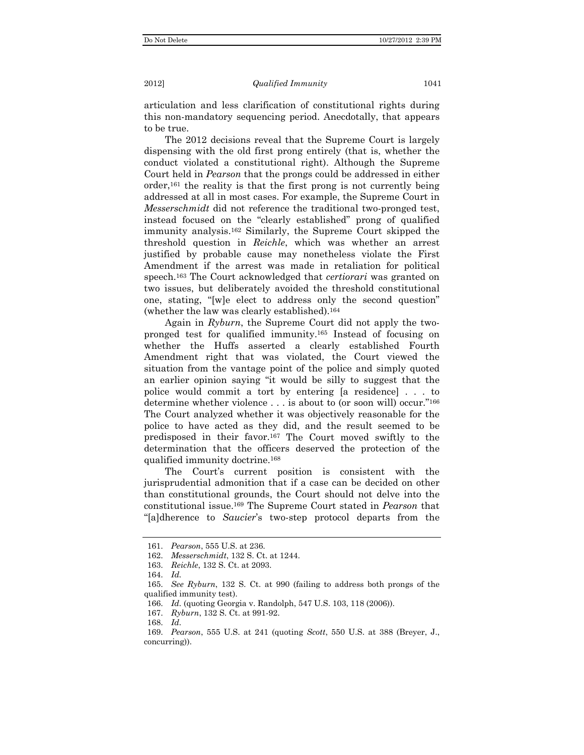articulation and less clarification of constitutional rights during this non-mandatory sequencing period. Anecdotally, that appears to be true.

The 2012 decisions reveal that the Supreme Court is largely dispensing with the old first prong entirely (that is, whether the conduct violated a constitutional right). Although the Supreme Court held in *Pearson* that the prongs could be addressed in either  $\alpha$  order,<sup>161</sup> the reality is that the first prong is not currently being addressed at all in most cases. For example, the Supreme Court in *Messerschmidt* did not reference the traditional two-pronged test, instead focused on the "clearly established" prong of qualified immunity analysis.162 Similarly, the Supreme Court skipped the threshold question in *Reichle*, which was whether an arrest justified by probable cause may nonetheless violate the First Amendment if the arrest was made in retaliation for political speech.163 The Court acknowledged that *certiorari* was granted on two issues, but deliberately avoided the threshold constitutional one, stating, "[w]e elect to address only the second question" (whether the law was clearly established).164

Again in *Ryburn*, the Supreme Court did not apply the twopronged test for qualified immunity.165 Instead of focusing on whether the Huffs asserted a clearly established Fourth Amendment right that was violated, the Court viewed the situation from the vantage point of the police and simply quoted an earlier opinion saying "it would be silly to suggest that the police would commit a tort by entering [a residence] . . . to determine whether violence . . . is about to (or soon will) occur."166 The Court analyzed whether it was objectively reasonable for the police to have acted as they did, and the result seemed to be predisposed in their favor.167 The Court moved swiftly to the determination that the officers deserved the protection of the qualified immunity doctrine.168

The Court's current position is consistent with the jurisprudential admonition that if a case can be decided on other than constitutional grounds, the Court should not delve into the constitutional issue.169 The Supreme Court stated in *Pearson* that "[a]dherence to *Saucier*'s two-step protocol departs from the

 <sup>161.</sup> *Pearson*, 555 U.S. at 236.

 <sup>162.</sup> *Messerschmidt*, 132 S. Ct. at 1244.

 <sup>163.</sup> *Reichle*, 132 S. Ct. at 2093.

 <sup>164.</sup> *Id.*

 <sup>165.</sup> *See Ryburn*, 132 S. Ct. at 990 (failing to address both prongs of the qualified immunity test).

 <sup>166.</sup> *Id.* (quoting Georgia v. Randolph, 547 U.S. 103, 118 (2006)).

 <sup>167.</sup> *Ryburn*, 132 S. Ct. at 991-92.

 <sup>168.</sup> *Id.*

 <sup>169.</sup> *Pearson*, 555 U.S. at 241 (quoting *Scott*, 550 U.S. at 388 (Breyer, J., concurring)).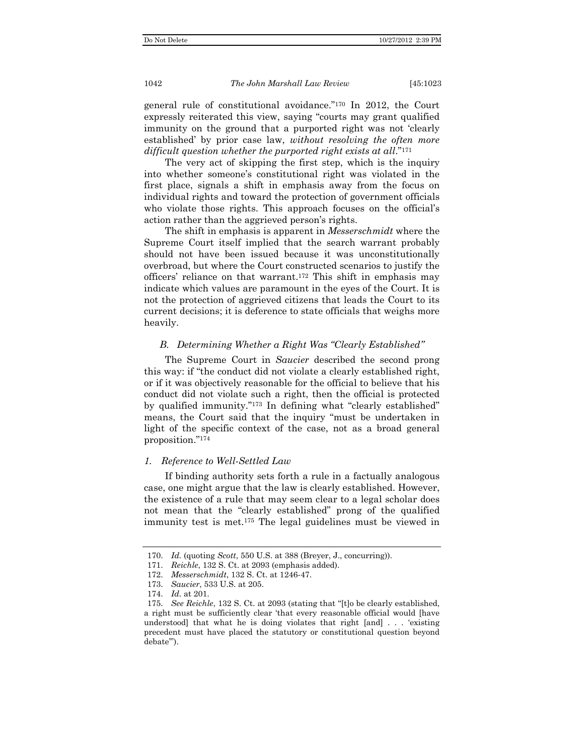general rule of constitutional avoidance."170 In 2012, the Court expressly reiterated this view, saying "courts may grant qualified immunity on the ground that a purported right was not 'clearly established' by prior case law, *without resolving the often more difficult question whether the purported right exists at all*."171

The very act of skipping the first step, which is the inquiry into whether someone's constitutional right was violated in the first place, signals a shift in emphasis away from the focus on individual rights and toward the protection of government officials who violate those rights. This approach focuses on the official's action rather than the aggrieved person's rights.

The shift in emphasis is apparent in *Messerschmidt* where the Supreme Court itself implied that the search warrant probably should not have been issued because it was unconstitutionally overbroad, but where the Court constructed scenarios to justify the officers' reliance on that warrant.172 This shift in emphasis may indicate which values are paramount in the eyes of the Court. It is not the protection of aggrieved citizens that leads the Court to its current decisions; it is deference to state officials that weighs more heavily.

#### *B. Determining Whether a Right Was "Clearly Established"*

The Supreme Court in *Saucier* described the second prong this way: if "the conduct did not violate a clearly established right, or if it was objectively reasonable for the official to believe that his conduct did not violate such a right, then the official is protected by qualified immunity."173 In defining what "clearly established" means, the Court said that the inquiry "must be undertaken in light of the specific context of the case, not as a broad general proposition."174

#### *1. Reference to Well-Settled Law*

If binding authority sets forth a rule in a factually analogous case, one might argue that the law is clearly established. However, the existence of a rule that may seem clear to a legal scholar does not mean that the "clearly established" prong of the qualified immunity test is met.175 The legal guidelines must be viewed in

 <sup>170.</sup> *Id.* (quoting *Scott*, 550 U.S. at 388 (Breyer, J., concurring)).

 <sup>171.</sup> *Reichle*, 132 S. Ct. at 2093 (emphasis added).

 <sup>172.</sup> *Messerschmidt*, 132 S. Ct. at 1246-47.

 <sup>173.</sup> *Saucier*, 533 U.S. at 205.

 <sup>174.</sup> *Id.* at 201.

 <sup>175.</sup> *See Reichle*, 132 S. Ct. at 2093 (stating that "[t]o be clearly established, a right must be sufficiently clear 'that every reasonable official would [have understood] that what he is doing violates that right [and] . . . 'existing precedent must have placed the statutory or constitutional question beyond debate'").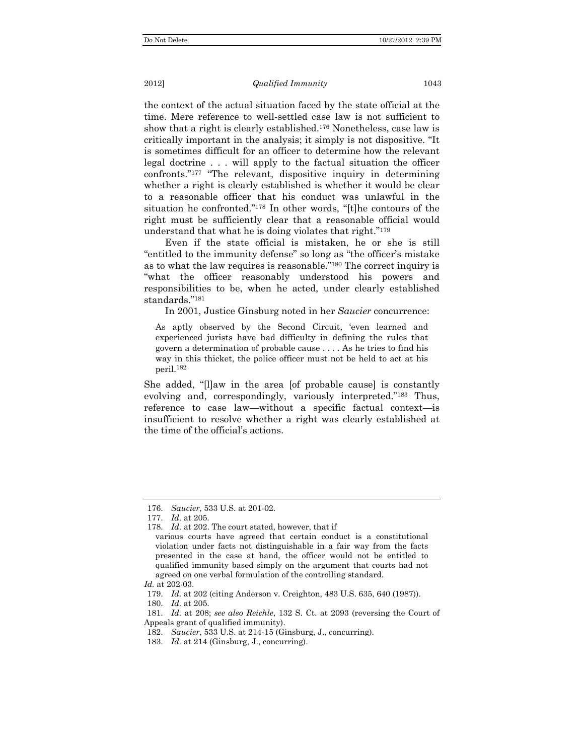#### 2012] *Qualified Immunity* 1043

the context of the actual situation faced by the state official at the time. Mere reference to well-settled case law is not sufficient to show that a right is clearly established.176 Nonetheless, case law is critically important in the analysis; it simply is not dispositive. "It is sometimes difficult for an officer to determine how the relevant legal doctrine . . . will apply to the factual situation the officer confronts."177 "The relevant, dispositive inquiry in determining whether a right is clearly established is whether it would be clear to a reasonable officer that his conduct was unlawful in the situation he confronted."178 In other words, "[t]he contours of the right must be sufficiently clear that a reasonable official would understand that what he is doing violates that right."179

Even if the state official is mistaken, he or she is still "entitled to the immunity defense" so long as "the officer's mistake as to what the law requires is reasonable."180 The correct inquiry is "what the officer reasonably understood his powers and responsibilities to be, when he acted, under clearly established standards."181

In 2001, Justice Ginsburg noted in her *Saucier* concurrence:

As aptly observed by the Second Circuit, 'even learned and experienced jurists have had difficulty in defining the rules that govern a determination of probable cause . . . . As he tries to find his way in this thicket, the police officer must not be held to act at his peril.182

She added, "[l]aw in the area [of probable cause] is constantly evolving and, correspondingly, variously interpreted."183 Thus, reference to case law—without a specific factual context—is insufficient to resolve whether a right was clearly established at the time of the official's actions.

 <sup>176.</sup> *Saucier*, 533 U.S. at 201-02.

 <sup>177.</sup> *Id.* at 205.

 <sup>178.</sup> *Id.* at 202. The court stated, however, that if

various courts have agreed that certain conduct is a constitutional violation under facts not distinguishable in a fair way from the facts presented in the case at hand, the officer would not be entitled to qualified immunity based simply on the argument that courts had not agreed on one verbal formulation of the controlling standard.

*Id.* at 202-03.

 <sup>179.</sup> *Id.* at 202 (citing Anderson v. Creighton, 483 U.S. 635, 640 (1987)).

 <sup>180.</sup> *Id.* at 205.

 <sup>181.</sup> *Id.* at 208; *see also Reichle*, 132 S. Ct. at 2093 (reversing the Court of Appeals grant of qualified immunity).

 <sup>182.</sup> *Saucier*, 533 U.S. at 214-15 (Ginsburg, J., concurring).

 <sup>183.</sup> *Id.* at 214 (Ginsburg, J., concurring).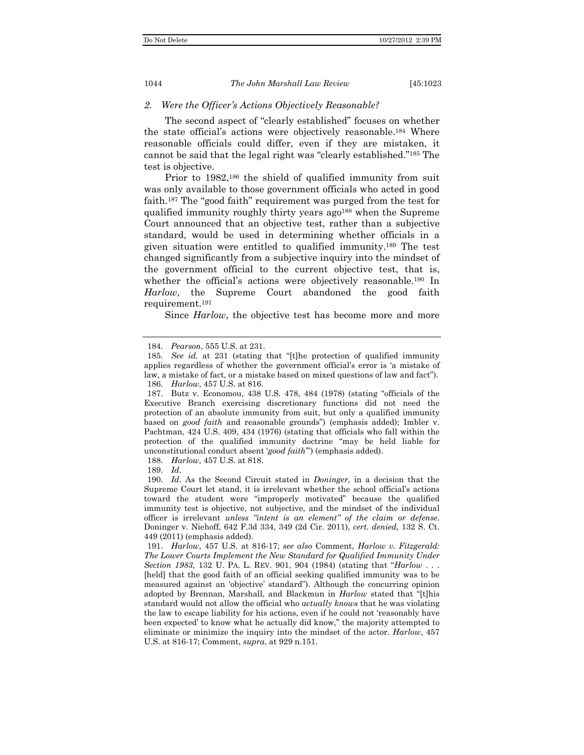#### *2. Were the Officer's Actions Objectively Reasonable?*

The second aspect of "clearly established" focuses on whether the state official's actions were objectively reasonable.184 Where reasonable officials could differ, even if they are mistaken, it cannot be said that the legal right was "clearly established."185 The test is objective.

Prior to 1982,<sup>186</sup> the shield of qualified immunity from suit was only available to those government officials who acted in good faith.187 The "good faith" requirement was purged from the test for qualified immunity roughly thirty years ago<sup>188</sup> when the Supreme Court announced that an objective test, rather than a subjective standard, would be used in determining whether officials in a given situation were entitled to qualified immunity.189 The test changed significantly from a subjective inquiry into the mindset of the government official to the current objective test, that is, whether the official's actions were objectively reasonable.<sup>190</sup> In *Harlow*, the Supreme Court abandoned the good faith requirement.191

Since *Harlow*, the objective test has become more and more

188. *Harlow*, 457 U.S. at 818.

189. *Id.*

 190. *Id.* As the Second Circuit stated in *Doninger*, in a decision that the Supreme Court let stand, it is irrelevant whether the school official's actions toward the student were "improperly motivated" because the qualified immunity test is objective, not subjective, and the mindset of the individual officer is irrelevant *unless "intent is an element" of the claim or defense*. Doninger v. Niehoff, 642 F.3d 334, 349 (2d Cir. 2011), *cert. denied,* 132 S. Ct. 449 (2011) (emphasis added).

 191. *Harlow*, 457 U.S. at 816-17; *see also* Comment, *Harlow v. Fitzgerald: The Lower Courts Implement the New Standard for Qualified Immunity Under Section 1983*, 132 U. PA. L. REV. 901, 904 (1984) (stating that "*Harlow* . . . [held] that the good faith of an official seeking qualified immunity was to be measured against an 'objective' standard"). Although the concurring opinion adopted by Brennan, Marshall, and Blackmun in *Harlow* stated that "[t]his standard would not allow the official who *actually knows* that he was violating the law to escape liability for his actions, even if he could not 'reasonably have been expected' to know what he actually did know," the majority attempted to eliminate or minimize the inquiry into the mindset of the actor. *Harlow*, 457 U.S. at 816-17; Comment, *supra*, at 929 n.151.

 <sup>184.</sup> *Pearson*, 555 U.S. at 231.

 <sup>185.</sup> *See id.* at 231 (stating that "[t]he protection of qualified immunity applies regardless of whether the government official's error is 'a mistake of law, a mistake of fact, or a mistake based on mixed questions of law and fact"). 186. *Harlow*, 457 U.S. at 816.

 <sup>187.</sup> Butz v. Economou, 438 U.S. 478, 484 (1978) (stating "officials of the Executive Branch exercising discretionary functions did not need the protection of an absolute immunity from suit, but only a qualified immunity based on *good faith* and reasonable grounds") (emphasis added); Imbler v. Pachtman, 424 U.S. 409, 434 (1976) (stating that officials who fall within the protection of the qualified immunity doctrine "may be held liable for unconstitutional conduct absent '*good faith*'") (emphasis added).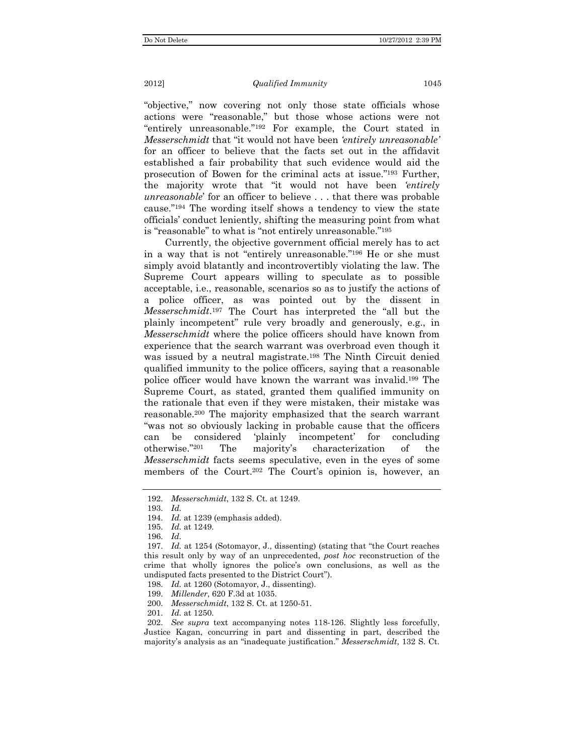"objective," now covering not only those state officials whose actions were "reasonable," but those whose actions were not "entirely unreasonable."192 For example, the Court stated in *Messerschmidt* that "it would not have been *'entirely unreasonable'* for an officer to believe that the facts set out in the affidavit established a fair probability that such evidence would aid the prosecution of Bowen for the criminal acts at issue."193 Further, the majority wrote that "it would not have been *'entirely unreasonable*' for an officer to believe . . . that there was probable cause."194 The wording itself shows a tendency to view the state officials' conduct leniently, shifting the measuring point from what is "reasonable" to what is "not entirely unreasonable."195

Currently, the objective government official merely has to act in a way that is not "entirely unreasonable."196 He or she must simply avoid blatantly and incontrovertibly violating the law. The Supreme Court appears willing to speculate as to possible acceptable, i.e., reasonable, scenarios so as to justify the actions of a police officer, as was pointed out by the dissent in *Messerschmidt*.197 The Court has interpreted the "all but the plainly incompetent" rule very broadly and generously, e.g., in *Messerschmidt* where the police officers should have known from experience that the search warrant was overbroad even though it was issued by a neutral magistrate.<sup>198</sup> The Ninth Circuit denied qualified immunity to the police officers, saying that a reasonable police officer would have known the warrant was invalid.199 The Supreme Court, as stated, granted them qualified immunity on the rationale that even if they were mistaken, their mistake was reasonable.200 The majority emphasized that the search warrant "was not so obviously lacking in probable cause that the officers can be considered 'plainly incompetent' for concluding otherwise."201 The majority's characterization of the *Messerschmidt* facts seems speculative, even in the eyes of some members of the Court.<sup>202</sup> The Court's opinion is, however, an

 <sup>192.</sup> *Messerschmidt*, 132 S. Ct. at 1249.

 <sup>193.</sup> *Id.*

 <sup>194.</sup> *Id.* at 1239 (emphasis added).

 <sup>195.</sup> *Id.* at 1249.

 <sup>196.</sup> *Id.* 

 <sup>197.</sup> *Id.* at 1254 (Sotomayor, J., dissenting) (stating that "the Court reaches this result only by way of an unprecedented, *post hoc* reconstruction of the crime that wholly ignores the police's own conclusions, as well as the undisputed facts presented to the District Court").

 <sup>198.</sup> *Id.* at 1260 (Sotomayor, J., dissenting).

 <sup>199.</sup> *Millender*, 620 F.3d at 1035.

 <sup>200.</sup> *Messerschmidt*, 132 S. Ct. at 1250-51.

 <sup>201.</sup> *Id.* at 1250.

 <sup>202.</sup> *See supra* text accompanying notes 118-126. Slightly less forcefully, Justice Kagan, concurring in part and dissenting in part, described the majority's analysis as an "inadequate justification." *Messerschmidt*, 132 S. Ct.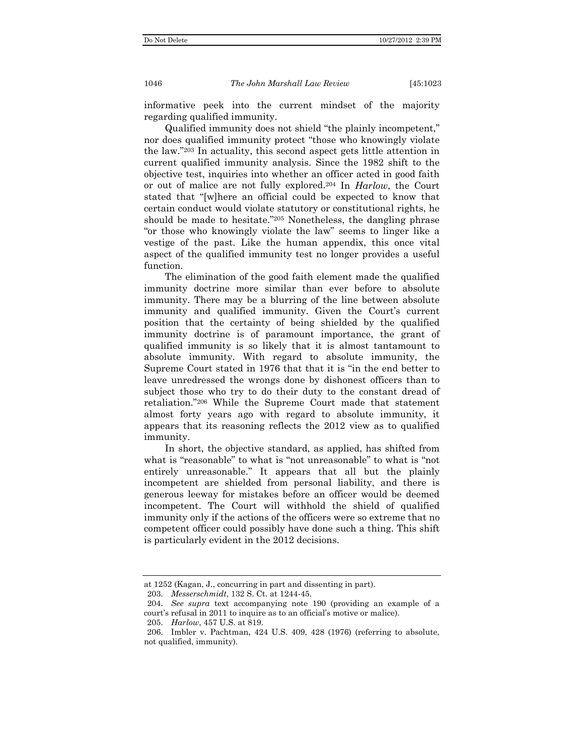informative peek into the current mindset of the majority regarding qualified immunity.

Qualified immunity does not shield "the plainly incompetent," nor does qualified immunity protect "those who knowingly violate the law."203 In actuality, this second aspect gets little attention in current qualified immunity analysis. Since the 1982 shift to the objective test, inquiries into whether an officer acted in good faith or out of malice are not fully explored.204 In *Harlow*, the Court stated that "[w]here an official could be expected to know that certain conduct would violate statutory or constitutional rights, he should be made to hesitate."205 Nonetheless, the dangling phrase "or those who knowingly violate the law" seems to linger like a vestige of the past. Like the human appendix, this once vital aspect of the qualified immunity test no longer provides a useful function.

The elimination of the good faith element made the qualified immunity doctrine more similar than ever before to absolute immunity. There may be a blurring of the line between absolute immunity and qualified immunity. Given the Court's current position that the certainty of being shielded by the qualified immunity doctrine is of paramount importance, the grant of qualified immunity is so likely that it is almost tantamount to absolute immunity. With regard to absolute immunity, the Supreme Court stated in 1976 that that it is "in the end better to leave unredressed the wrongs done by dishonest officers than to subject those who try to do their duty to the constant dread of retaliation."206 While the Supreme Court made that statement almost forty years ago with regard to absolute immunity, it appears that its reasoning reflects the 2012 view as to qualified immunity.

In short, the objective standard, as applied, has shifted from what is "reasonable" to what is "not unreasonable" to what is "not entirely unreasonable." It appears that all but the plainly incompetent are shielded from personal liability, and there is generous leeway for mistakes before an officer would be deemed incompetent. The Court will withhold the shield of qualified immunity only if the actions of the officers were so extreme that no competent officer could possibly have done such a thing. This shift is particularly evident in the 2012 decisions.

at 1252 (Kagan, J., concurring in part and dissenting in part).

 <sup>203.</sup> *Messerschmidt*, 132 S. Ct. at 1244-45.

 <sup>204.</sup> *See supra* text accompanying note 190 (providing an example of a court's refusal in 2011 to inquire as to an official's motive or malice).

 <sup>205.</sup> *Harlow*, 457 U.S. at 819.

 <sup>206.</sup> Imbler v. Pachtman, 424 U.S. 409, 428 (1976) (referring to absolute, not qualified, immunity).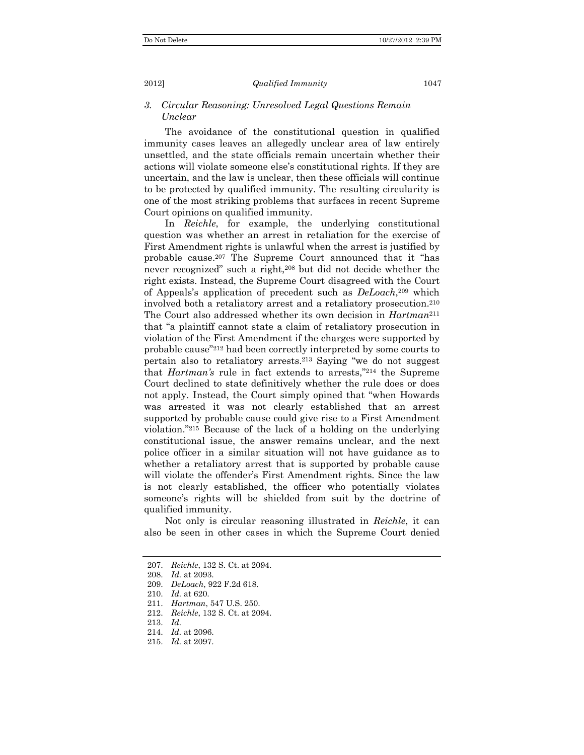# *3. Circular Reasoning: Unresolved Legal Questions Remain Unclear*

The avoidance of the constitutional question in qualified immunity cases leaves an allegedly unclear area of law entirely unsettled, and the state officials remain uncertain whether their actions will violate someone else's constitutional rights. If they are uncertain, and the law is unclear, then these officials will continue to be protected by qualified immunity. The resulting circularity is one of the most striking problems that surfaces in recent Supreme Court opinions on qualified immunity.

In *Reichle*, for example, the underlying constitutional question was whether an arrest in retaliation for the exercise of First Amendment rights is unlawful when the arrest is justified by probable cause.207 The Supreme Court announced that it "has never recognized" such a right,<sup>208</sup> but did not decide whether the right exists. Instead, the Supreme Court disagreed with the Court of Appeals's application of precedent such as *DeLoach*,209 which involved both a retaliatory arrest and a retaliatory prosecution.210 The Court also addressed whether its own decision in *Hartman*<sup>211</sup> that "a plaintiff cannot state a claim of retaliatory prosecution in violation of the First Amendment if the charges were supported by probable cause"212 had been correctly interpreted by some courts to pertain also to retaliatory arrests.213 Saying "we do not suggest that *Hartman's* rule in fact extends to arrests,"214 the Supreme Court declined to state definitively whether the rule does or does not apply. Instead, the Court simply opined that "when Howards was arrested it was not clearly established that an arrest supported by probable cause could give rise to a First Amendment violation."215 Because of the lack of a holding on the underlying constitutional issue, the answer remains unclear, and the next police officer in a similar situation will not have guidance as to whether a retaliatory arrest that is supported by probable cause will violate the offender's First Amendment rights. Since the law is not clearly established, the officer who potentially violates someone's rights will be shielded from suit by the doctrine of qualified immunity.

Not only is circular reasoning illustrated in *Reichle*, it can also be seen in other cases in which the Supreme Court denied

 <sup>207.</sup> *Reichle*, 132 S. Ct. at 2094.

 <sup>208.</sup> *Id.* at 2093.

 <sup>209.</sup> *DeLoach*, 922 F.2d 618.

 <sup>210.</sup> *Id.* at 620.

 <sup>211.</sup> *Hartman*, 547 U.S. 250.

 <sup>212.</sup> *Reichle*, 132 S. Ct. at 2094.

 <sup>213.</sup> *Id.*

 <sup>214.</sup> *Id.* at 2096.

 <sup>215.</sup> *Id.* at 2097.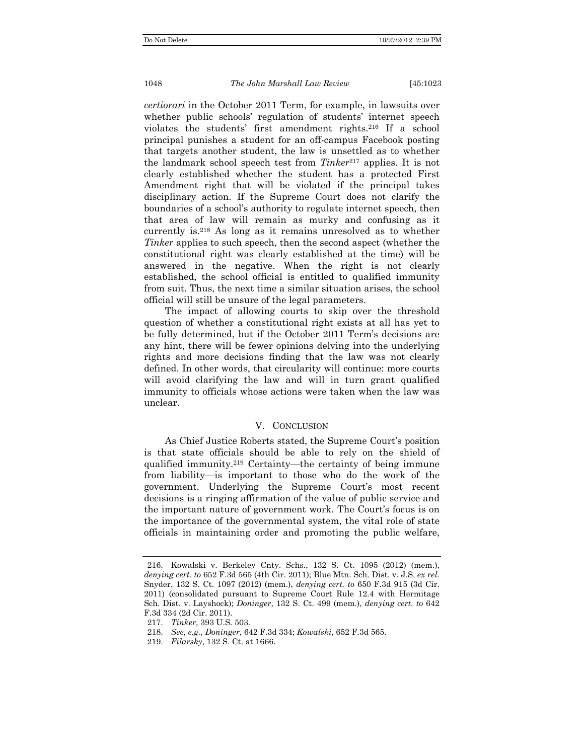*certiorari* in the October 2011 Term, for example, in lawsuits over whether public schools' regulation of students' internet speech violates the students' first amendment rights.216 If a school principal punishes a student for an off-campus Facebook posting that targets another student, the law is unsettled as to whether the landmark school speech test from *Tinker*217 applies. It is not clearly established whether the student has a protected First Amendment right that will be violated if the principal takes disciplinary action. If the Supreme Court does not clarify the boundaries of a school's authority to regulate internet speech, then that area of law will remain as murky and confusing as it currently is.218 As long as it remains unresolved as to whether *Tinker* applies to such speech, then the second aspect (whether the constitutional right was clearly established at the time) will be answered in the negative. When the right is not clearly established, the school official is entitled to qualified immunity from suit. Thus, the next time a similar situation arises, the school official will still be unsure of the legal parameters.

The impact of allowing courts to skip over the threshold question of whether a constitutional right exists at all has yet to be fully determined, but if the October 2011 Term's decisions are any hint, there will be fewer opinions delving into the underlying rights and more decisions finding that the law was not clearly defined. In other words, that circularity will continue: more courts will avoid clarifying the law and will in turn grant qualified immunity to officials whose actions were taken when the law was unclear.

#### V. CONCLUSION

As Chief Justice Roberts stated, the Supreme Court's position is that state officials should be able to rely on the shield of qualified immunity.219 Certainty—the certainty of being immune from liability—is important to those who do the work of the government. Underlying the Supreme Court's most recent decisions is a ringing affirmation of the value of public service and the important nature of government work. The Court's focus is on the importance of the governmental system, the vital role of state officials in maintaining order and promoting the public welfare,

 <sup>216.</sup> Kowalski v. Berkeley Cnty. Schs., 132 S. Ct. 1095 (2012) (mem.), *denying cert. to* 652 F.3d 565 (4th Cir. 2011); Blue Mtn. Sch. Dist. v. J.S. *ex rel.*  Snyder, 132 S. Ct. 1097 (2012) (mem.), *denying cert. to* 650 F.3d 915 (3d Cir. 2011) (consolidated pursuant to Supreme Court Rule 12.4 with Hermitage Sch. Dist. v. Layshock); *Doninger*, 132 S. Ct. 499 (mem.), *denying cert. to* 642 F.3d 334 (2d Cir. 2011).

 <sup>217.</sup> *Tinker*, 393 U.S. 503.

 <sup>218.</sup> *See, e.g.*, *Doninger*, 642 F.3d 334; *Kowalski*, 652 F.3d 565.

 <sup>219.</sup> *Filarsky*, 132 S. Ct. at 1666.